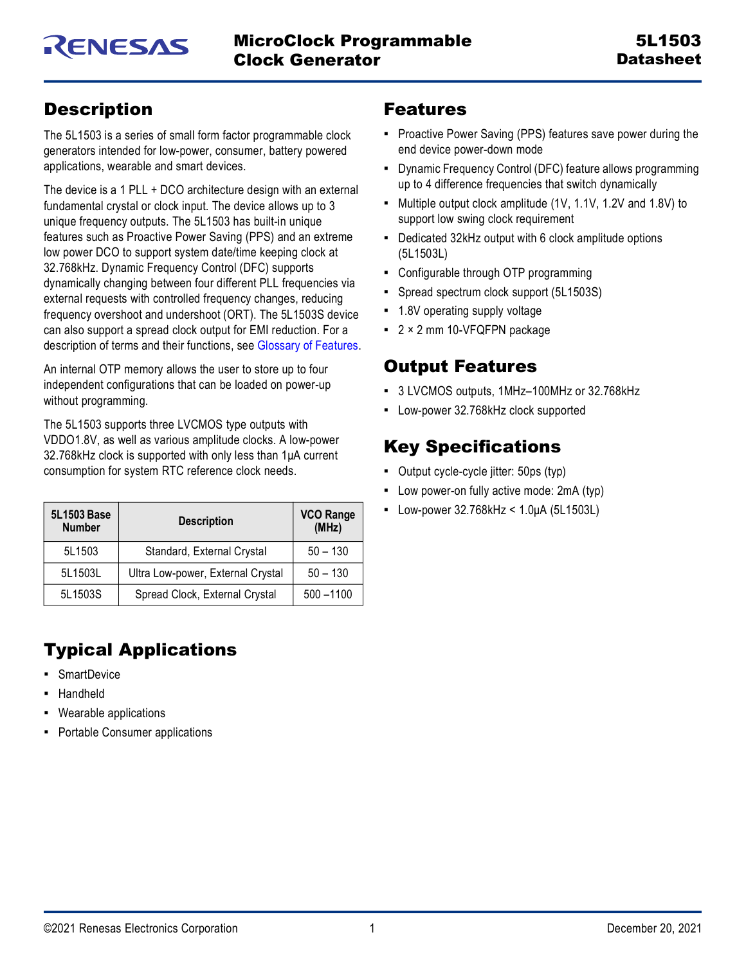# <span id="page-0-0"></span>**Description**

The 5L1503 is a series of small form factor programmable clock generators intended for low-power, consumer, battery powered applications, wearable and smart devices.

The device is a 1 PLL + DCO architecture design with an external fundamental crystal or clock input. The device allows up to 3 unique frequency outputs. The 5L1503 has built-in unique features such as Proactive Power Saving (PPS) and an extreme low power DCO to support system date/time keeping clock at 32.768kHz. Dynamic Frequency Control (DFC) supports dynamically changing between four different PLL frequencies via external requests with controlled frequency changes, reducing frequency overshoot and undershoot (ORT). The 5L1503S device can also support a spread clock output for EMI reduction. For a description of terms and their functions, see [Glossary of Features](#page-26-0).

An internal OTP memory allows the user to store up to four independent configurations that can be loaded on power-up without programming.

The 5L1503 supports three LVCMOS type outputs with VDDO1.8V, as well as various amplitude clocks. A low-power 32.768kHz clock is supported with only less than 1μA current consumption for system RTC reference clock needs.

| 5L1503 Base<br><b>Number</b> | <b>Description</b>                | <b>VCO Range</b><br>(MHz) |
|------------------------------|-----------------------------------|---------------------------|
| 5L1503                       | Standard, External Crystal        | $50 - 130$                |
| 5L1503L                      | Ultra Low-power, External Crystal | $50 - 130$                |
| 5L1503S                      | Spread Clock, External Crystal    | $500 - 1100$              |

# <span id="page-0-1"></span>Typical Applications

- **•** SmartDevice
- **Handheld**
- Wearable applications
- Portable Consumer applications

# <span id="page-0-2"></span>Features

- **Proactive Power Saving (PPS) features save power during the** end device power-down mode
- **Dynamic Frequency Control (DFC) feature allows programming** up to 4 difference frequencies that switch dynamically
- Multiple output clock amplitude (1V, 1.1V, 1.2V and 1.8V) to support low swing clock requirement
- Dedicated 32kHz output with 6 clock amplitude options (5L1503L)
- Configurable through OTP programming
- Spread spectrum clock support (5L1503S)
- 1.8V operating supply voltage
- 2 × 2 mm 10-VFQFPN package

# <span id="page-0-3"></span>Output Features

- 3 LVCMOS outputs, 1MHz–100MHz or 32.768kHz
- Low-power 32.768kHz clock supported

# <span id="page-0-4"></span>Key Specifications

- Output cycle-cycle jitter: 50ps (typ)
- Low power-on fully active mode: 2mA (typ)
- **•** Low-power 32.768kHz < 1.0μA (5L1503L)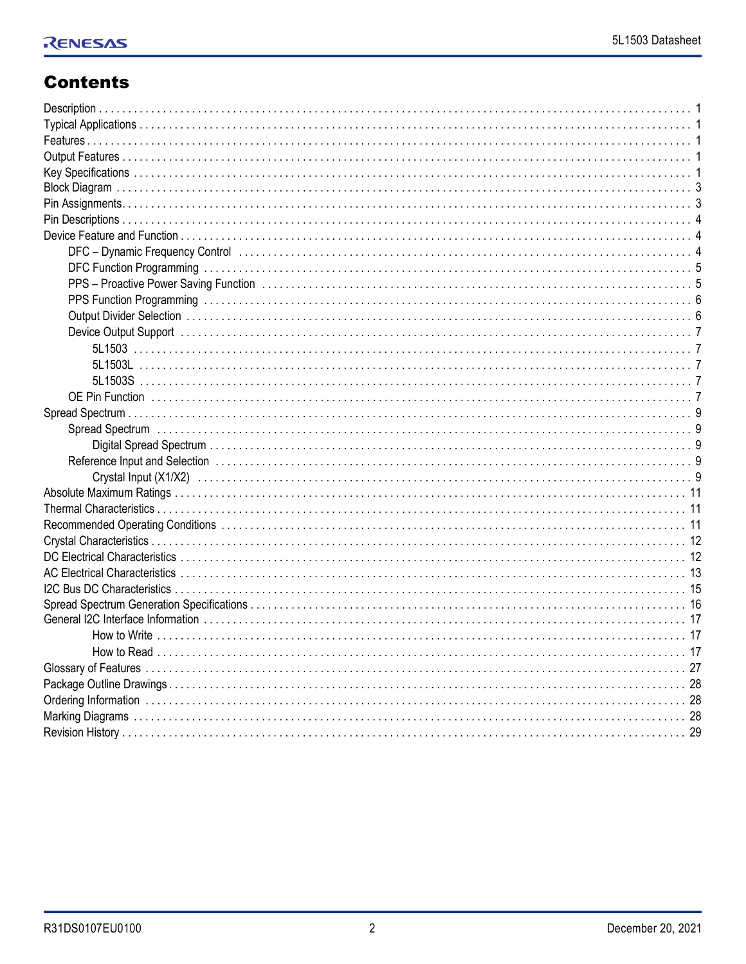# **Contents**

| DFC-Dynamic Frequency Control (1000) (1000) (2000) (2000) (2000) (2000) (2000) (2000) (2000) (2000) (2000) (20 |
|----------------------------------------------------------------------------------------------------------------|
|                                                                                                                |
|                                                                                                                |
|                                                                                                                |
|                                                                                                                |
|                                                                                                                |
|                                                                                                                |
|                                                                                                                |
|                                                                                                                |
|                                                                                                                |
|                                                                                                                |
|                                                                                                                |
|                                                                                                                |
|                                                                                                                |
|                                                                                                                |
|                                                                                                                |
|                                                                                                                |
|                                                                                                                |
|                                                                                                                |
|                                                                                                                |
|                                                                                                                |
|                                                                                                                |
|                                                                                                                |
|                                                                                                                |
|                                                                                                                |
|                                                                                                                |
|                                                                                                                |
|                                                                                                                |
|                                                                                                                |
|                                                                                                                |
|                                                                                                                |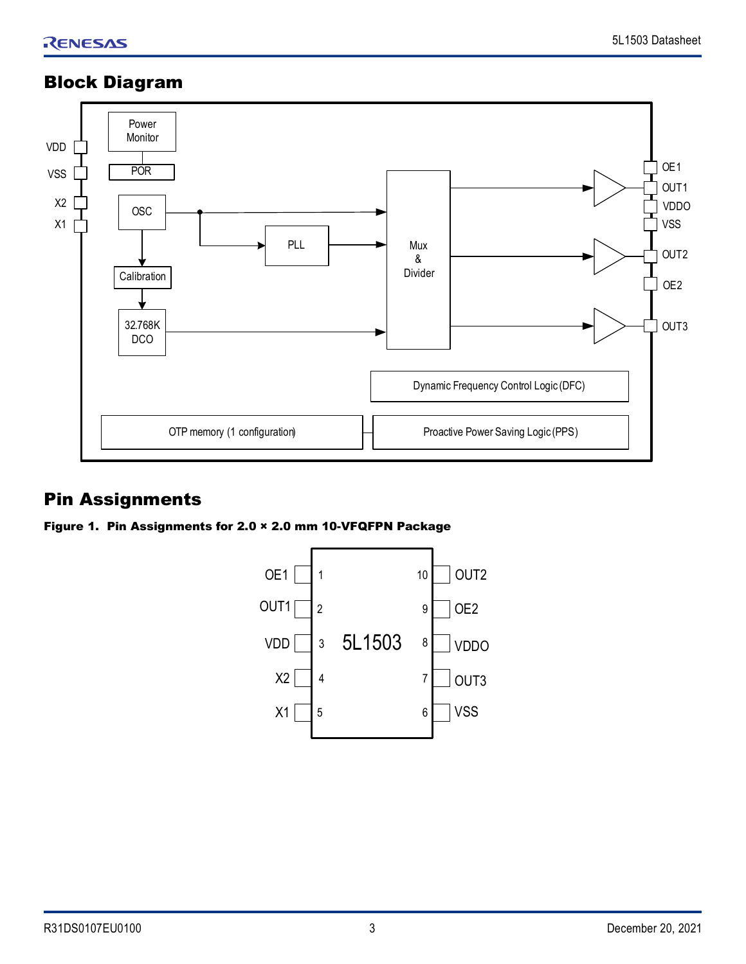# <span id="page-2-0"></span>Block Diagram



# <span id="page-2-1"></span>Pin Assignments

Figure 1. Pin Assignments for 2.0 × 2.0 mm 10-VFQFPN Package

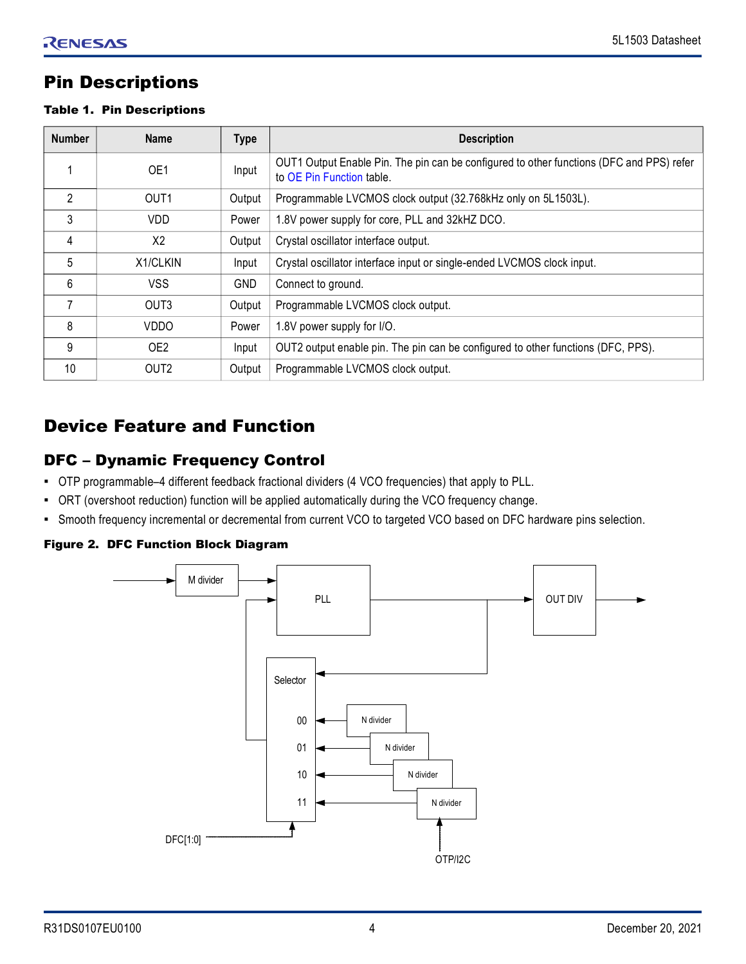# <span id="page-3-0"></span>Pin Descriptions

#### Table 1. Pin Descriptions

| <b>Number</b>  | <b>Name</b>      | <b>Type</b> | <b>Description</b>                                                                                                    |
|----------------|------------------|-------------|-----------------------------------------------------------------------------------------------------------------------|
|                | OE1              | Input       | OUT1 Output Enable Pin. The pin can be configured to other functions (DFC and PPS) refer<br>to OE Pin Function table. |
| $\mathfrak{p}$ | OUT <sub>1</sub> | Output      | Programmable LVCMOS clock output (32.768kHz only on 5L1503L).                                                         |
| 3              | <b>VDD</b>       | Power       | 1.8V power supply for core, PLL and 32kHZ DCO.                                                                        |
| 4              | X2               | Output      | Crystal oscillator interface output.                                                                                  |
| 5              | X1/CLKIN         | Input       | Crystal oscillator interface input or single-ended LVCMOS clock input.                                                |
| 6              | <b>VSS</b>       | <b>GND</b>  | Connect to ground.                                                                                                    |
| 7              | OUT <sub>3</sub> | Output      | Programmable LVCMOS clock output.                                                                                     |
| 8              | <b>VDDO</b>      | Power       | 1.8V power supply for I/O.                                                                                            |
| 9              | OE <sub>2</sub>  | Input       | OUT2 output enable pin. The pin can be configured to other functions (DFC, PPS).                                      |
| 10             | OUT <sub>2</sub> | Output      | Programmable LVCMOS clock output.                                                                                     |

# <span id="page-3-1"></span>Device Feature and Function

## <span id="page-3-2"></span>DFC – Dynamic Frequency Control

- OTP programmable–4 different feedback fractional dividers (4 VCO frequencies) that apply to PLL.
- ORT (overshoot reduction) function will be applied automatically during the VCO frequency change.
- Smooth frequency incremental or decremental from current VCO to targeted VCO based on DFC hardware pins selection.

## Figure 2. DFC Function Block Diagram

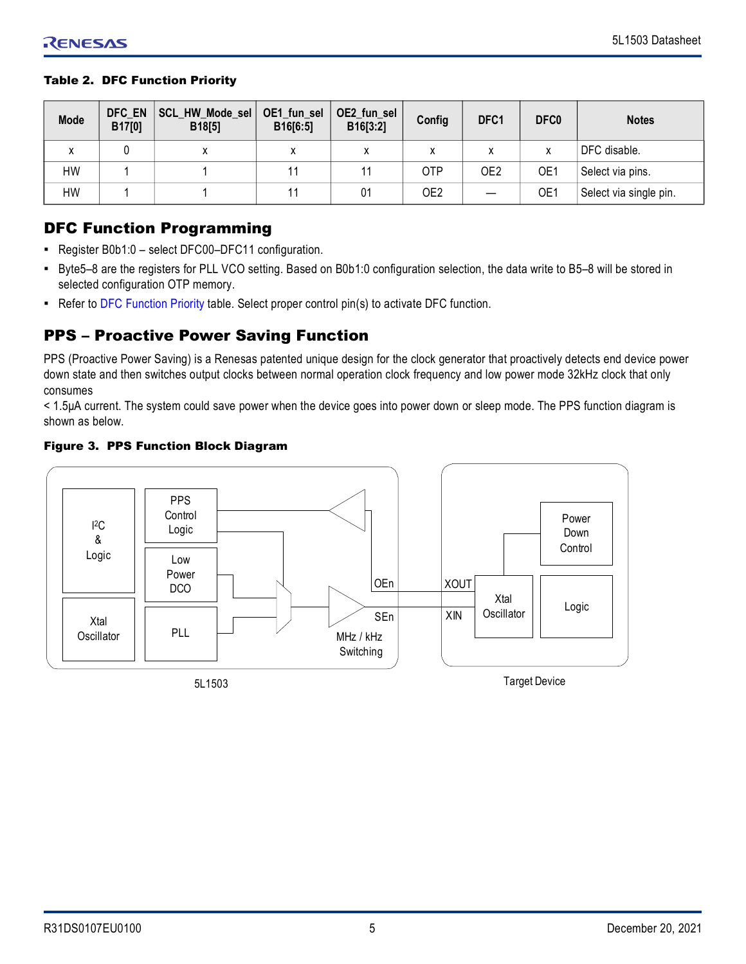#### <span id="page-4-2"></span>Table 2. DFC Function Priority

| <b>Mode</b> | DFC EN<br>B17[0] | SCL_HW_Mode_sel<br>B18[5] | OE1_fun_sel<br>B16[6:5] | OE2_fun_sel<br>B16[3:2] | Config          | DFC1 | DFC <sub>0</sub> | <b>Notes</b>           |
|-------------|------------------|---------------------------|-------------------------|-------------------------|-----------------|------|------------------|------------------------|
| х           |                  | ́                         | χ                       |                         | x               |      |                  | DFC disable.           |
| НW          |                  |                           |                         |                         | <b>OTP</b>      | OE2  | OE1              | Select via pins.       |
| НW          |                  |                           |                         | 01                      | OE <sub>2</sub> |      | OE1              | Select via single pin. |

# <span id="page-4-0"></span>DFC Function Programming

- Register B0b1:0 select DFC00–DFC11 configuration.
- Byte5–8 are the registers for PLL VCO setting. Based on B0b1:0 configuration selection, the data write to B5–8 will be stored in selected configuration OTP memory.
- Refer to [DFC Function Priority](#page-4-2) table. Select proper control pin(s) to activate DFC function.

# <span id="page-4-1"></span>PPS – Proactive Power Saving Function

PPS (Proactive Power Saving) is a Renesas patented unique design for the clock generator that proactively detects end device power down state and then switches output clocks between normal operation clock frequency and low power mode 32kHz clock that only consumes

< 1.5μA current. The system could save power when the device goes into power down or sleep mode. The PPS function diagram is shown as below.

#### Figure 3. PPS Function Block Diagram

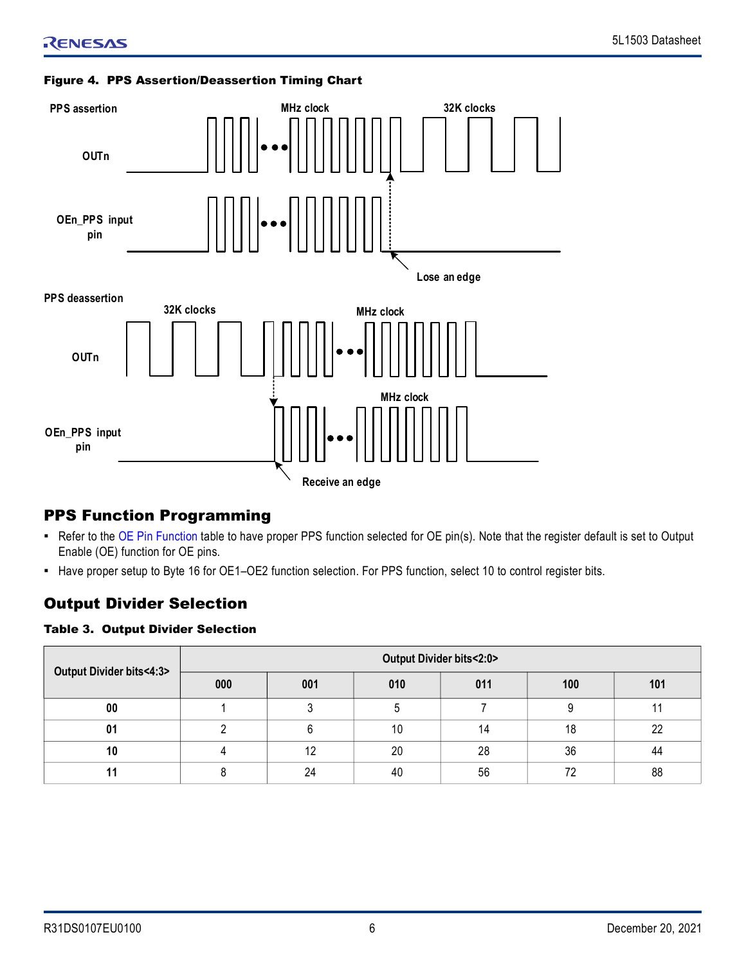#### Figure 4. PPS Assertion/Deassertion Timing Chart



# <span id="page-5-0"></span>PPS Function Programming

- Refer to the [OE Pin Function](#page-6-5) table to have proper PPS function selected for OE pin(s). Note that the register default is set to Output Enable (OE) function for OE pins.
- Have proper setup to Byte 16 for OE1–OE2 function selection. For PPS function, select 10 to control register bits.

# <span id="page-5-1"></span>Output Divider Selection

## Table 3. Output Divider Selection

| Output Divider bits<4:3> | Output Divider bits<2:0> |     |     |     |     |     |  |
|--------------------------|--------------------------|-----|-----|-----|-----|-----|--|
|                          | 000                      | 001 | 010 | 011 | 100 | 101 |  |
| 00                       |                          |     |     |     | O   |     |  |
| 01                       |                          |     | 10  | 14  | 18  | າາ  |  |
| 10                       |                          | 12  | 20  | 28  | 36  | 44  |  |
|                          |                          | 24  | 40  | 56  | ᢇ   | 88  |  |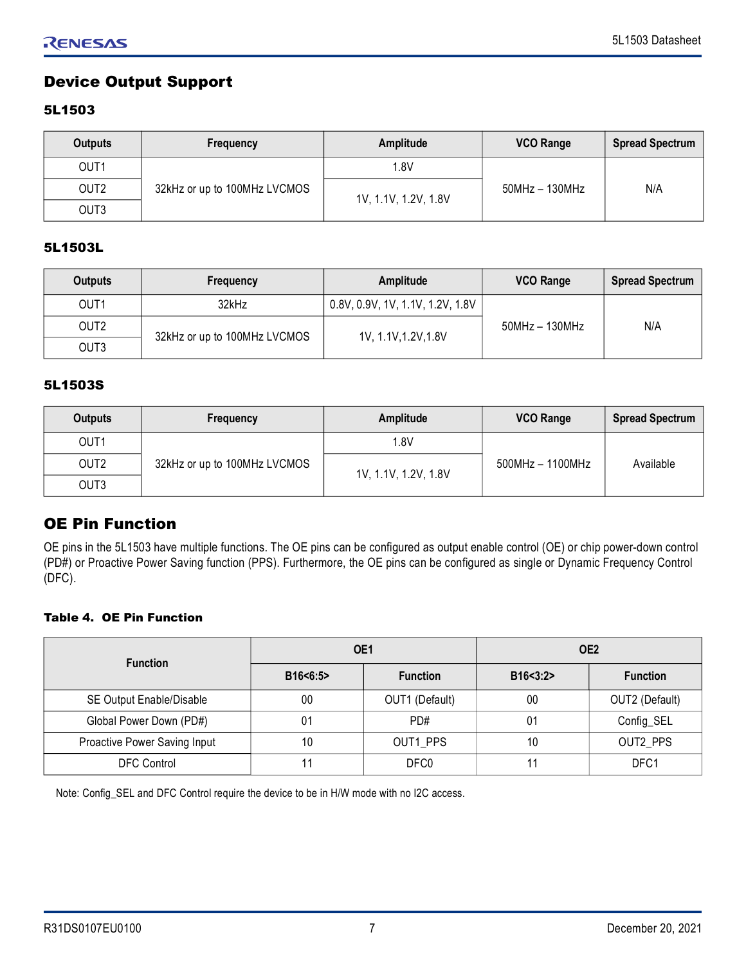# <span id="page-6-0"></span>Device Output Support

## <span id="page-6-1"></span>5L1503

| <b>Outputs</b>   | Frequency                    | Amplitude            | <b>VCO Range</b> | <b>Spread Spectrum</b> |
|------------------|------------------------------|----------------------|------------------|------------------------|
| OUT <sub>1</sub> |                              | 1.8V                 |                  |                        |
| OUT <sub>2</sub> | 32kHz or up to 100MHz LVCMOS | 1V, 1.1V, 1.2V, 1.8V | 50MHz - 130MHz   | N/A                    |
| OUT3             |                              |                      |                  |                        |

#### <span id="page-6-2"></span>5L1503L

| Outputs          | Frequency                    | Amplitude                        | <b>VCO Range</b> | <b>Spread Spectrum</b> |
|------------------|------------------------------|----------------------------------|------------------|------------------------|
| OUT <sub>1</sub> | 32kHz                        | 0.8V, 0.9V, 1V, 1.1V, 1.2V, 1.8V |                  |                        |
| OUT <sub>2</sub> | 32kHz or up to 100MHz LVCMOS | 1V, 1.1V, 1.2V, 1.8V             | $50MHz - 130MHz$ | N/A                    |
| OUT3             |                              |                                  |                  |                        |

#### <span id="page-6-3"></span>5L1503S

| Outputs          | Frequency                    | Amplitude            | <b>VCO Range</b>   | <b>Spread Spectrum</b> |
|------------------|------------------------------|----------------------|--------------------|------------------------|
| OUT <sub>1</sub> |                              | 1.8V                 |                    |                        |
| OUT <sub>2</sub> | 32kHz or up to 100MHz LVCMOS | 1V, 1.1V, 1.2V, 1.8V | $500MHz - 1100MHz$ | Available              |
| OUT3             |                              |                      |                    |                        |

## <span id="page-6-4"></span>OE Pin Function

OE pins in the 5L1503 have multiple functions. The OE pins can be configured as output enable control (OE) or chip power-down control (PD#) or Proactive Power Saving function (PPS). Furthermore, the OE pins can be configured as single or Dynamic Frequency Control (DFC).

### <span id="page-6-5"></span>Table 4. OE Pin Function

| <b>Function</b>              |          | OE1             | OE <sub>2</sub> |                 |  |
|------------------------------|----------|-----------------|-----------------|-----------------|--|
|                              | B16<6:5> | <b>Function</b> | B16 < 3:2       | <b>Function</b> |  |
| SE Output Enable/Disable     | 00       | OUT1 (Default)  | 00              | OUT2 (Default)  |  |
| Global Power Down (PD#)      | 01       | PD#             | 01              | Config_SEL      |  |
| Proactive Power Saving Input | 10       | OUT1 PPS        | 10              | OUT2 PPS        |  |
| <b>DFC Control</b>           |          | DFC0            |                 | DFC1            |  |

Note: Config\_SEL and DFC Control require the device to be in H/W mode with no I2C access.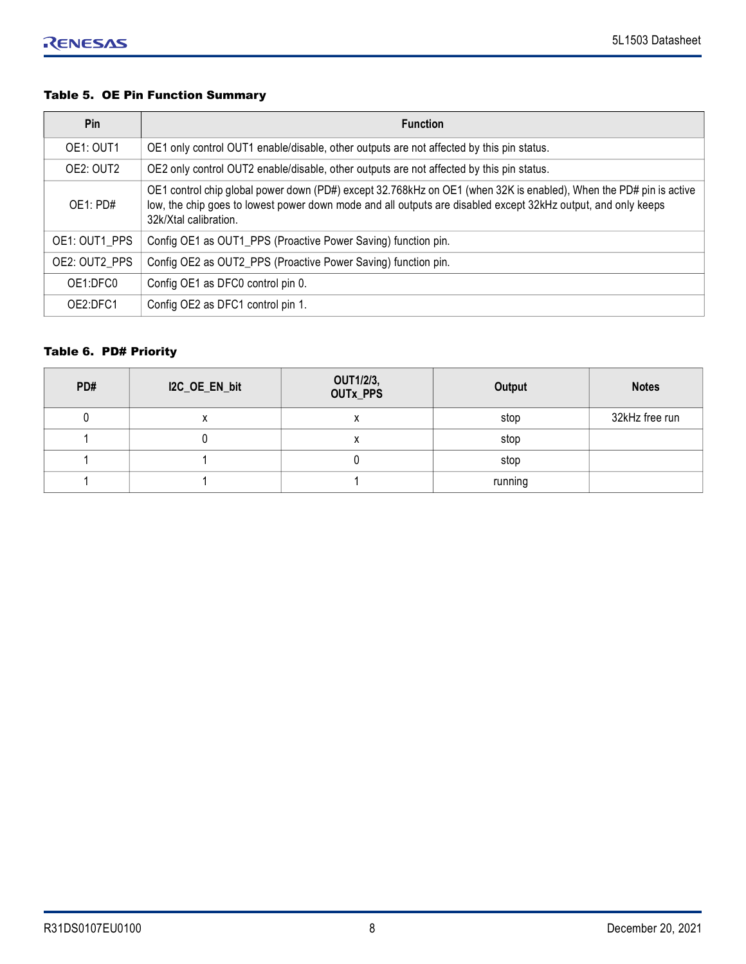## Table 5. OE Pin Function Summary

| Pin           | <b>Function</b>                                                                                                                                                                                                                                              |
|---------------|--------------------------------------------------------------------------------------------------------------------------------------------------------------------------------------------------------------------------------------------------------------|
| OE1: OUT1     | OE1 only control OUT1 enable/disable, other outputs are not affected by this pin status.                                                                                                                                                                     |
| OE2: OUT2     | OE2 only control OUT2 enable/disable, other outputs are not affected by this pin status.                                                                                                                                                                     |
| OE1: PDE      | OE1 control chip global power down (PD#) except 32.768kHz on OE1 (when 32K is enabled), When the PD# pin is active<br>low, the chip goes to lowest power down mode and all outputs are disabled except 32kHz output, and only keeps<br>32k/Xtal calibration. |
| OE1: OUT1 PPS | Config OE1 as OUT1_PPS (Proactive Power Saving) function pin.                                                                                                                                                                                                |
| OE2: OUT2 PPS | Config OE2 as OUT2_PPS (Proactive Power Saving) function pin.                                                                                                                                                                                                |
| OE1:DFC0      | Config OE1 as DFC0 control pin 0.                                                                                                                                                                                                                            |
| OE2:DFC1      | Config OE2 as DFC1 control pin 1.                                                                                                                                                                                                                            |

#### Table 6. PD# Priority

| PD# | I2C_OE_EN_bit | OUT1/2/3,<br>OUTx_PPS | Output  | <b>Notes</b>   |
|-----|---------------|-----------------------|---------|----------------|
|     | x             | $\lambda$             | stop    | 32kHz free run |
|     |               | ́                     | stop    |                |
|     |               |                       | stop    |                |
|     |               |                       | running |                |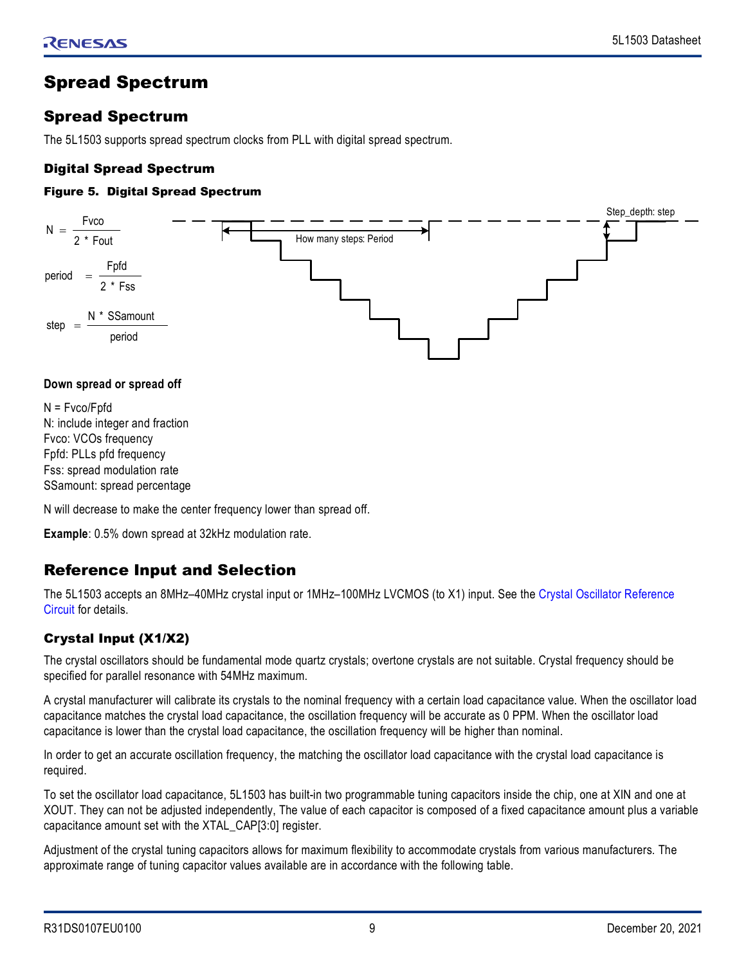# <span id="page-8-0"></span>Spread Spectrum

# <span id="page-8-1"></span>Spread Spectrum

The 5L1503 supports spread spectrum clocks from PLL with digital spread spectrum.

## <span id="page-8-2"></span>Digital Spread Spectrum

### Figure 5. Digital Spread Spectrum



#### **Down spread or spread off**

N = Fvco/Fpfd N: include integer and fraction Fvco: VCOs frequency Fpfd: PLLs pfd frequency Fss: spread modulation rate SSamount: spread percentage

N will decrease to make the center frequency lower than spread off.

**Example**: 0.5% down spread at 32kHz modulation rate.

# <span id="page-8-3"></span>Reference Input and Selection

The 5L1503 accepts an 8MHz–40MHz crystal input or 1MHz–100MHz LVCMOS (to X1) input. See the [Crystal Oscillator Reference](#page-9-0)  [Circuit](#page-9-0) for details.

## <span id="page-8-4"></span>Crystal Input (X1/X2)

The crystal oscillators should be fundamental mode quartz crystals; overtone crystals are not suitable. Crystal frequency should be specified for parallel resonance with 54MHz maximum.

A crystal manufacturer will calibrate its crystals to the nominal frequency with a certain load capacitance value. When the oscillator load capacitance matches the crystal load capacitance, the oscillation frequency will be accurate as 0 PPM. When the oscillator load capacitance is lower than the crystal load capacitance, the oscillation frequency will be higher than nominal.

In order to get an accurate oscillation frequency, the matching the oscillator load capacitance with the crystal load capacitance is required.

To set the oscillator load capacitance, 5L1503 has built-in two programmable tuning capacitors inside the chip, one at XIN and one at XOUT. They can not be adjusted independently, The value of each capacitor is composed of a fixed capacitance amount plus a variable capacitance amount set with the XTAL\_CAP[3:0] register.

Adjustment of the crystal tuning capacitors allows for maximum flexibility to accommodate crystals from various manufacturers. The approximate range of tuning capacitor values available are in accordance with the following table.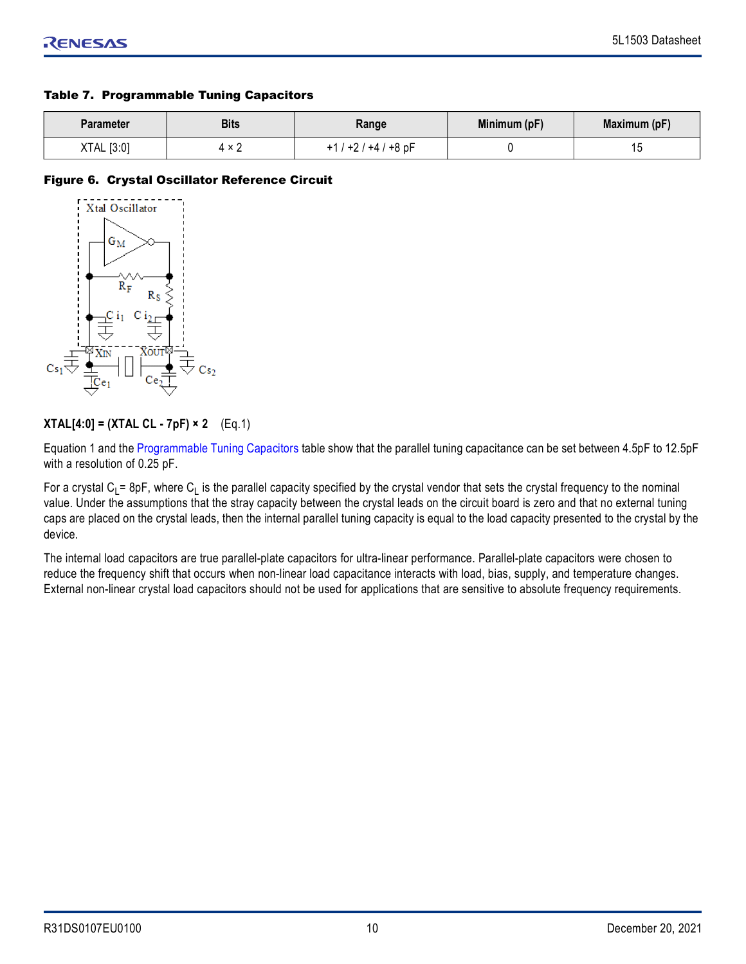#### <span id="page-9-1"></span>Table 7. Programmable Tuning Capacitors

| Parameter  | <b>Bits</b>                 | Range            | Minimum (pF) | Maximum (pF) |
|------------|-----------------------------|------------------|--------------|--------------|
| XTAL [3:0] | $\ddot{\phantom{0}}$<br>4 A | $+1/+2/+4/+8$ pF |              | ں ،          |

#### <span id="page-9-0"></span>Figure 6. Crystal Oscillator Reference Circuit



## **XTAL[4:0] = (XTAL CL - 7pF) × 2** (Eq.1)

Equation 1 and the [Programmable Tuning Capacitors](#page-9-1) table show that the parallel tuning capacitance can be set between 4.5pF to 12.5pF with a resolution of 0.25 pF.

For a crystal C<sub>L</sub>= 8pF, where C<sub>L</sub> is the parallel capacity specified by the crystal vendor that sets the crystal frequency to the nominal value. Under the assumptions that the stray capacity between the crystal leads on the circuit board is zero and that no external tuning caps are placed on the crystal leads, then the internal parallel tuning capacity is equal to the load capacity presented to the crystal by the device.

The internal load capacitors are true parallel-plate capacitors for ultra-linear performance. Parallel-plate capacitors were chosen to reduce the frequency shift that occurs when non-linear load capacitance interacts with load, bias, supply, and temperature changes. External non-linear crystal load capacitors should not be used for applications that are sensitive to absolute frequency requirements.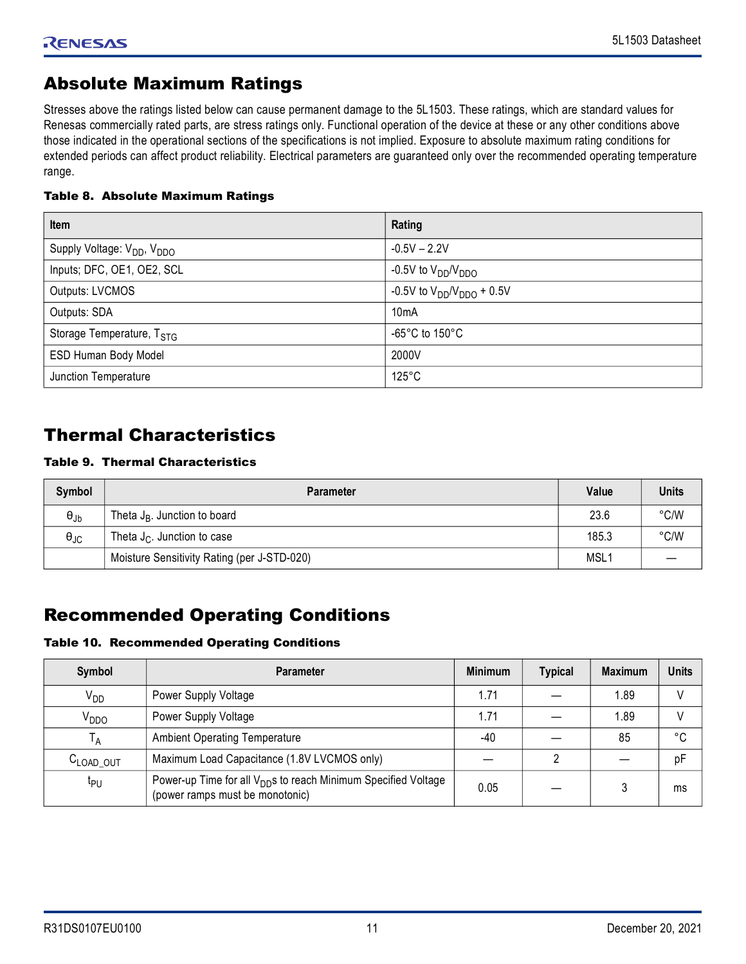# <span id="page-10-0"></span>Absolute Maximum Ratings

Stresses above the ratings listed below can cause permanent damage to the 5L1503. These ratings, which are standard values for Renesas commercially rated parts, are stress ratings only. Functional operation of the device at these or any other conditions above those indicated in the operational sections of the specifications is not implied. Exposure to absolute maximum rating conditions for extended periods can affect product reliability. Electrical parameters are guaranteed only over the recommended operating temperature range.

#### Table 8. Absolute Maximum Ratings

| Item                                               | Rating                             |
|----------------------------------------------------|------------------------------------|
| Supply Voltage: V <sub>DD</sub> , V <sub>DDO</sub> | $-0.5V - 2.2V$                     |
| Inputs; DFC, OE1, OE2, SCL                         | -0.5V to $\rm V_{DD}/V_{DDO}$      |
| Outputs: LVCMOS                                    | $-0.5V$ to $V_{DD}/V_{DDO}$ + 0.5V |
| Outputs: SDA                                       | 10 <sub>m</sub> A                  |
| Storage Temperature, T <sub>STG</sub>              | -65°C to 150°C                     |
| ESD Human Body Model                               | 2000V                              |
| Junction Temperature                               | $125^{\circ}$ C                    |

# <span id="page-10-1"></span>Thermal Characteristics

## Table 9. Thermal Characteristics

| Symbol                 | <b>Parameter</b>                            | Value            | <b>Units</b> |
|------------------------|---------------------------------------------|------------------|--------------|
| $\Theta_{\mathsf{Jb}}$ | Theta $J_R$ . Junction to board             | 23.6             | °C/W         |
| $\theta_{\text{JC}}$   | Theta $J_C$ . Junction to case              | 185.3            | °C/W         |
|                        | Moisture Sensitivity Rating (per J-STD-020) | MSL <sub>1</sub> |              |

# <span id="page-10-2"></span>Recommended Operating Conditions

#### Table 10. Recommended Operating Conditions

| Symbol                | <b>Parameter</b>                                                                                              | <b>Minimum</b> | <b>Typical</b> | <b>Maximum</b> | <b>Units</b> |
|-----------------------|---------------------------------------------------------------------------------------------------------------|----------------|----------------|----------------|--------------|
| V <sub>DD</sub>       | Power Supply Voltage                                                                                          | 1.71           |                | 1.89           |              |
| V <sub>DDO</sub>      | Power Supply Voltage                                                                                          | 1.71           |                | 1.89           |              |
| <sup>1</sup> A        | <b>Ambient Operating Temperature</b>                                                                          | -40            |                | 85             | °C           |
| C <sub>LOAD</sub> OUT | Maximum Load Capacitance (1.8V LVCMOS only)                                                                   |                |                |                | pF           |
| ιрη                   | Power-up Time for all V <sub>DD</sub> s to reach Minimum Specified Voltage<br>(power ramps must be monotonic) | 0.05           |                |                | ms           |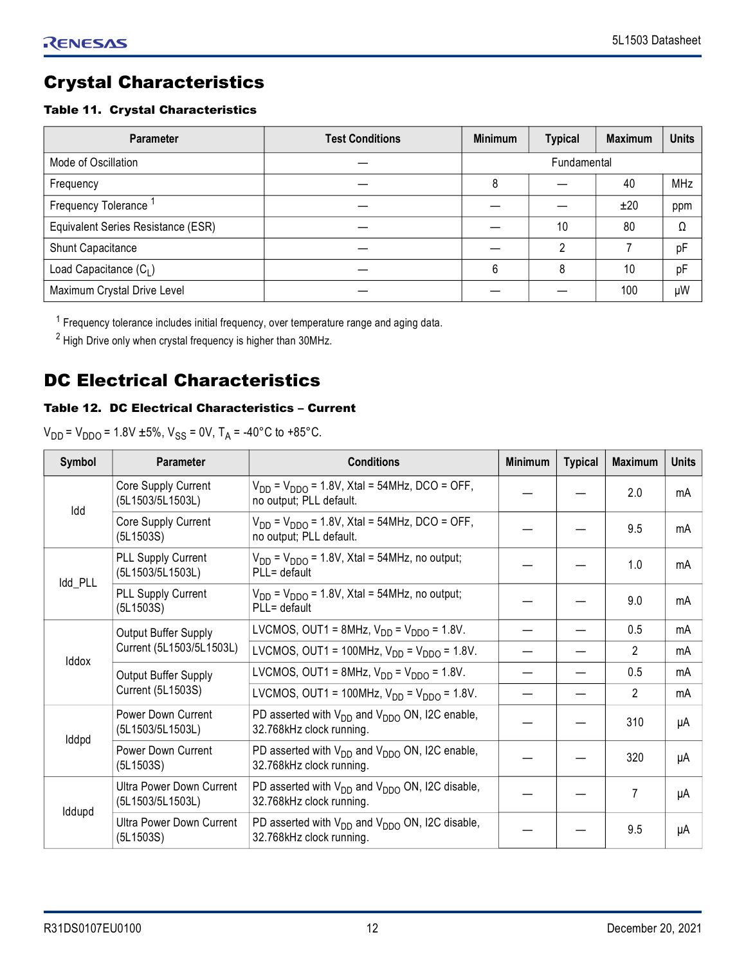# <span id="page-11-0"></span>Crystal Characteristics

### Table 11. Crystal Characteristics

| <b>Parameter</b>                   | <b>Test Conditions</b> | <b>Minimum</b> | <b>Typical</b> | <b>Maximum</b> | <b>Units</b> |
|------------------------------------|------------------------|----------------|----------------|----------------|--------------|
| Mode of Oscillation                |                        | Fundamental    |                |                |              |
| Frequency                          |                        | 8              |                | 40             | MHz          |
| Frequency Tolerance                |                        |                |                | ±20            | ppm          |
| Equivalent Series Resistance (ESR) |                        |                | 10             | 80             | Ω            |
| Shunt Capacitance                  |                        |                | C              |                | pF           |
| Load Capacitance $(C_1)$           |                        | 6              | 8              | 10             | pF           |
| Maximum Crystal Drive Level        |                        |                |                | 100            | μW           |

<sup>1</sup> Frequency tolerance includes initial frequency, over temperature range and aging data.

 $2$  High Drive only when crystal frequency is higher than 30MHz.

# <span id="page-11-1"></span>DC Electrical Characteristics

## Table 12. DC Electrical Characteristics – Current

 $V_{DD} = V_{DDO} = 1.8V \pm 5\%$ ,  $V_{SS} = 0V$ ,  $T_A = -40^{\circ}C$  to  $+85^{\circ}C$ .

| Symbol  | Parameter                                           | <b>Conditions</b>                                                                    | <b>Minimum</b>                                   | <b>Typical</b> | <b>Maximum</b> | <b>Units</b> |    |
|---------|-----------------------------------------------------|--------------------------------------------------------------------------------------|--------------------------------------------------|----------------|----------------|--------------|----|
| Idd     | Core Supply Current<br>(5L1503/5L1503L)             | $V_{DD}$ = $V_{DDO}$ = 1.8V, Xtal = 54MHz, DCO = OFF,<br>no output; PLL default.     |                                                  |                | 2.0            | mA           |    |
|         | Core Supply Current<br>(5L1503S)                    | $V_{DD}$ = $V_{DDO}$ = 1.8V, Xtal = 54MHz, DCO = OFF,<br>no output; PLL default.     |                                                  |                | 9.5            | mA           |    |
| Idd_PLL | PLL Supply Current<br>(5L1503/5L1503L)              | $V_{DD}$ = $V_{DDO}$ = 1.8V, Xtal = 54MHz, no output;<br>PLL= default                |                                                  |                | 1.0            | mA           |    |
|         | PLL Supply Current<br>(5L1503S)                     | $V_{DD}$ = $V_{DDO}$ = 1.8V, Xtal = 54MHz, no output;<br>PLL= default                |                                                  |                | 9.0            | mA           |    |
|         |                                                     | Output Buffer Supply                                                                 | LVCMOS, OUT1 = 8MHz, $V_{DD} = V_{DDO} = 1.8V$ . |                |                | 0.5          | mA |
| Iddox   | Current (5L1503/5L1503L)                            | LVCMOS, OUT1 = 100MHz, $V_{DD} = V_{DDO} = 1.8V$ .                                   |                                                  |                | 2              | mA           |    |
|         | Output Buffer Supply<br><b>Current (5L1503S)</b>    | LVCMOS, OUT1 = 8MHz, $V_{DD}$ = $V_{DDO}$ = 1.8V.                                    |                                                  |                | 0.5            | mA           |    |
|         |                                                     | LVCMOS, OUT1 = 100MHz, $V_{DD} = V_{DDO} = 1.8V$ .                                   |                                                  |                | $\mathcal{P}$  | mA           |    |
|         | <b>Power Down Current</b><br>(5L1503/5L1503L)       | PD asserted with $V_{DD}$ and $V_{DDO}$ ON, I2C enable,<br>32.768kHz clock running.  |                                                  |                | 310            | μA           |    |
| Iddpd   | Power Down Current<br>(5L1503S)                     | PD asserted with $V_{DD}$ and $V_{DDO}$ ON, I2C enable,<br>32.768kHz clock running.  |                                                  |                | 320            | μA           |    |
|         | <b>Ultra Power Down Current</b><br>(5L1503/5L1503L) | PD asserted with $V_{DD}$ and $V_{DDO}$ ON, I2C disable,<br>32.768kHz clock running. |                                                  |                | 7              | μA           |    |
| Iddupd  | Ultra Power Down Current<br>(5L1503S)               | PD asserted with $V_{DD}$ and $V_{DDO}$ ON, I2C disable,<br>32.768kHz clock running. |                                                  |                | 9.5            | μA           |    |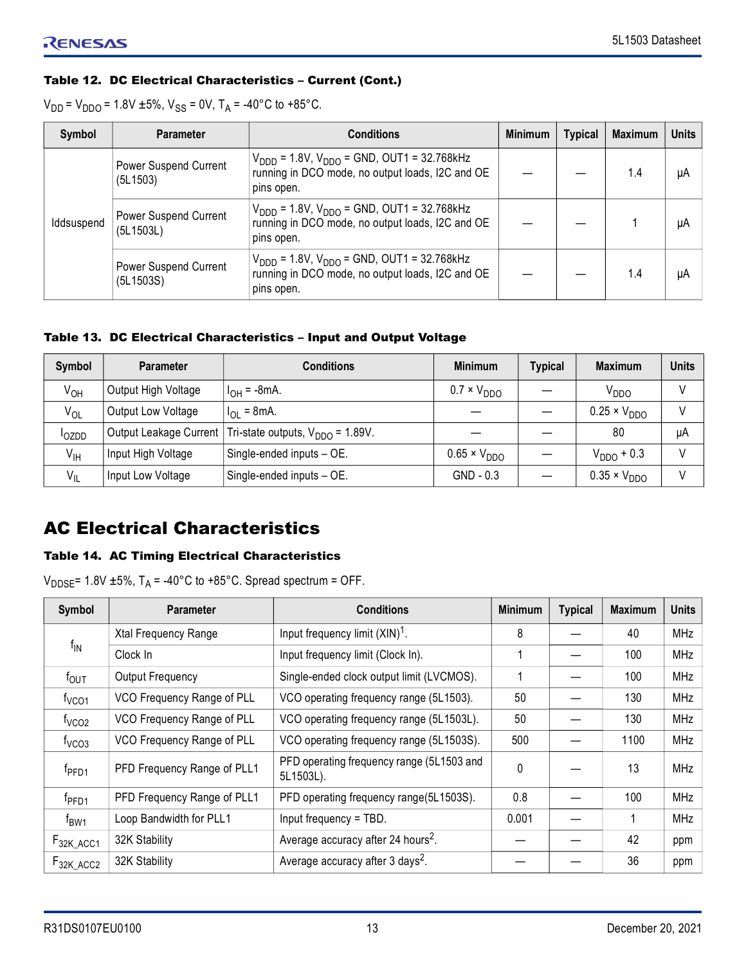## Table 12. DC Electrical Characteristics – Current (Cont.)

 $V_{DD}$  =  $V_{DDO}$  = 1.8V ±5%,  $V_{SS}$  = 0V, T<sub>A</sub> = -40°C to +85°C.

| Symbol     | <b>Parameter</b>                   | <b>Conditions</b>                                                                                                                   | <b>Minimum</b> | <b>Typical</b> | <b>Maximum</b> | <b>Units</b> |
|------------|------------------------------------|-------------------------------------------------------------------------------------------------------------------------------------|----------------|----------------|----------------|--------------|
| Iddsuspend | Power Suspend Current<br>(5L1503)  | $V_{\text{DDD}}$ = 1.8V, $V_{\text{DDO}}$ = GND, OUT1 = 32.768kHz<br>running in DCO mode, no output loads, I2C and OE<br>pins open. |                |                | 1.4            | μA           |
|            | Power Suspend Current<br>(5L1503L) | $V_{\text{DDD}}$ = 1.8V, $V_{\text{DDO}}$ = GND, OUT1 = 32.768kHz<br>running in DCO mode, no output loads, I2C and OE<br>pins open. |                |                |                | μA           |
|            | Power Suspend Current<br>(5L1503S) | $V_{\text{DDD}}$ = 1.8V, $V_{\text{DDO}}$ = GND, OUT1 = 32.768kHz<br>running in DCO mode, no output loads, I2C and OE<br>pins open. |                |                | 1.4            | μA           |

#### Table 13. DC Electrical Characteristics – Input and Output Voltage

| Symbol            | <b>Parameter</b>    | <b>Conditions</b>                                                     | <b>Minimum</b>        | <b>Typical</b> | <b>Maximum</b>        | <b>Units</b> |
|-------------------|---------------------|-----------------------------------------------------------------------|-----------------------|----------------|-----------------------|--------------|
| Ѵѹ                | Output High Voltage | $I_{OH} = -8mA$ .                                                     | $0.7 \times V_{DDO}$  |                | V <sub>DDO</sub>      |              |
| $V_{OL}$          | Output Low Voltage  | $I_{\text{OI}} = 8 \text{ mA}$ .                                      |                       |                | $0.25 \times V_{DDO}$ |              |
| <sup>I</sup> OZDD |                     | Output Leakage Current   Tri-state outputs, V <sub>DDO</sub> = 1.89V. |                       |                | 80                    | μA           |
| $V_{\text{IH}}$   | Input High Voltage  | Single-ended inputs - OE.                                             | $0.65 \times V_{DDO}$ |                | $V_{DDO}$ + 0.3       |              |
| $V_{IL}$          | Input Low Voltage   | Single-ended inputs - OE.                                             | $GND - 0.3$           |                | $0.35 \times V_{DDO}$ |              |

# <span id="page-12-0"></span>AC Electrical Characteristics

## Table 14. AC Timing Electrical Characteristics

 $V_{\text{DDE}}$ = 1.8V ±5%, T<sub>A</sub> = -40°C to +85°C. Spread spectrum = OFF.

| <b>Symbol</b>     | <b>Parameter</b>            | <b>Conditions</b>                                      | <b>Minimum</b> | <b>Typical</b> | <b>Maximum</b> | <b>Units</b> |
|-------------------|-----------------------------|--------------------------------------------------------|----------------|----------------|----------------|--------------|
|                   | Xtal Frequency Range        | Input frequency limit $(XIN)^T$ .                      | 8              |                | 40             | <b>MHz</b>   |
| $f_{\text{IN}}$   | Clock In                    | Input frequency limit (Clock In).                      |                |                | 100            | <b>MHz</b>   |
| $f_{\text{OUT}}$  | Output Frequency            | Single-ended clock output limit (LVCMOS).              |                |                | 100            | <b>MHz</b>   |
| f <sub>VCO1</sub> | VCO Frequency Range of PLL  | VCO operating frequency range (5L1503).                | 50             |                | 130            | <b>MHz</b>   |
| t <sub>VCO2</sub> | VCO Frequency Range of PLL  | VCO operating frequency range (5L1503L).               | 50             |                | 130            | MHz          |
| $1VCO3$           | VCO Frequency Range of PLL  | VCO operating frequency range (5L1503S).               | 500            |                | 1100           | <b>MHz</b>   |
| $f_{\text{PFD1}}$ | PFD Frequency Range of PLL1 | PFD operating frequency range (5L1503 and<br>5L1503L). | $\Omega$       |                | 13             | <b>MHz</b>   |
| $f_{\rm PFD1}$    | PFD Frequency Range of PLL1 | PFD operating frequency range(5L1503S).                | 0.8            |                | 100            | <b>MHz</b>   |
| $f_{BW1}$         | Loop Bandwidth for PLL1     | Input frequency = TBD.                                 | 0.001          |                |                | MHz          |
| $F_{32K \_ACC1}$  | 32K Stability               | Average accuracy after 24 hours <sup>2</sup> .         |                |                | 42             | ppm          |
| $F_{32K\_ACC2}$   | 32K Stability               | Average accuracy after 3 days <sup>2</sup> .           |                |                | 36             | ppm          |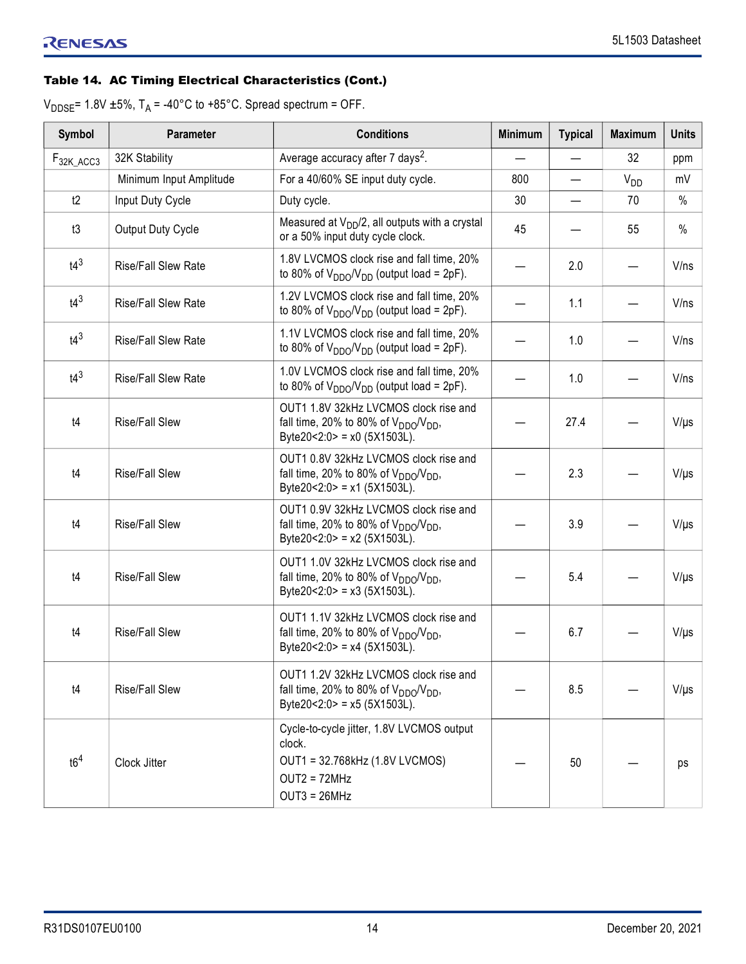## Table 14. AC Timing Electrical Characteristics (Cont.)

 $V_{\text{DDE}}$  = 1.8V ±5%, T<sub>A</sub> = -40°C to +85°C. Spread spectrum = OFF.

| <b>Symbol</b>    | Parameter                  | <b>Conditions</b>                                                                                                         | <b>Minimum</b> | <b>Typical</b> | <b>Maximum</b> | <b>Units</b> |
|------------------|----------------------------|---------------------------------------------------------------------------------------------------------------------------|----------------|----------------|----------------|--------------|
| $F_{32K \_ACC3}$ | 32K Stability              | Average accuracy after 7 days <sup>2</sup> .                                                                              |                |                | 32             | ppm          |
|                  | Minimum Input Amplitude    | For a 40/60% SE input duty cycle.                                                                                         | 800            |                | $V_{DD}$       | mV           |
| t2               | Input Duty Cycle           | Duty cycle.                                                                                                               | 30             |                | 70             | $\%$         |
| t3               | Output Duty Cycle          | Measured at $V_{DD}/2$ , all outputs with a crystal<br>or a 50% input duty cycle clock.                                   | 45             |                | 55             | $\%$         |
| $t4^3$           | <b>Rise/Fall Slew Rate</b> | 1.8V LVCMOS clock rise and fall time, 20%<br>to 80% of $V_{DDO}/V_{DD}$ (output load = 2pF).                              |                | 2.0            |                | V/ns         |
| $t4^3$           | <b>Rise/Fall Slew Rate</b> | 1.2V LVCMOS clock rise and fall time, 20%<br>to 80% of $V_{DDO}/V_{DD}$ (output load = 2pF).                              |                | 1.1            |                | V/ns         |
| $t4^3$           | <b>Rise/Fall Slew Rate</b> | 1.1V LVCMOS clock rise and fall time, 20%<br>to 80% of $V_{DDO}/V_{DD}$ (output load = 2pF).                              |                | 1.0            |                | V/ns         |
| $t4^3$           | <b>Rise/Fall Slew Rate</b> | 1.0V LVCMOS clock rise and fall time, 20%<br>to 80% of $V_{DDO}/V_{DD}$ (output load = 2pF).                              |                | 1.0            |                | V/ns         |
| t4               | <b>Rise/Fall Slew</b>      | OUT1 1.8V 32kHz LVCMOS clock rise and<br>fall time, 20% to 80% of $V_{DDO}/V_{DD}$ ,<br>Byte20<2:0> = $x0$ (5X1503L).     |                | 27.4           |                | $V/\mu s$    |
| t4               | <b>Rise/Fall Slew</b>      | OUT1 0.8V 32kHz LVCMOS clock rise and<br>fall time, 20% to 80% of $V_{DDO}/V_{DD}$ ,<br>Byte20<2:0> = x1 (5X1503L).       |                | 2.3            |                | $V/\mu s$    |
| t4               | <b>Rise/Fall Slew</b>      | OUT1 0.9V 32kHz LVCMOS clock rise and<br>fall time, 20% to 80% of $V_{DDO}/V_{DD}$ ,<br>Byte20<2:0> = x2 (5X1503L).       |                | 3.9            |                | $V/\mu s$    |
| t4               | <b>Rise/Fall Slew</b>      | OUT1 1.0V 32kHz LVCMOS clock rise and<br>fall time, 20% to 80% of $V_{DDO}/V_{DD}$ ,<br>Byte20<2:0> = x3 (5X1503L).       |                | 5.4            |                | $V/\mu s$    |
| t4               | <b>Rise/Fall Slew</b>      | OUT1 1.1V 32kHz LVCMOS clock rise and<br>fall time, 20% to 80% of $V_{DDO}/V_{DD}$ ,<br>Byte20<2:0> = $x4$ (5X1503L).     |                | 6.7            |                | $V/\mu s$    |
| t4               | <b>Rise/Fall Slew</b>      | OUT1 1.2V 32kHz LVCMOS clock rise and<br>fall time, 20% to 80% of $V_{DDO}/V_{DD}$ ,<br>Byte20<2:0> = $x5$ (5X1503L).     |                | 8.5            |                | $V/\mu s$    |
| t6 <sup>4</sup>  | Clock Jitter               | Cycle-to-cycle jitter, 1.8V LVCMOS output<br>clock.<br>OUT1 = 32.768kHz (1.8V LVCMOS)<br>$OUT2 = 72MHz$<br>$OUT3 = 26MHz$ |                | 50             |                | ps           |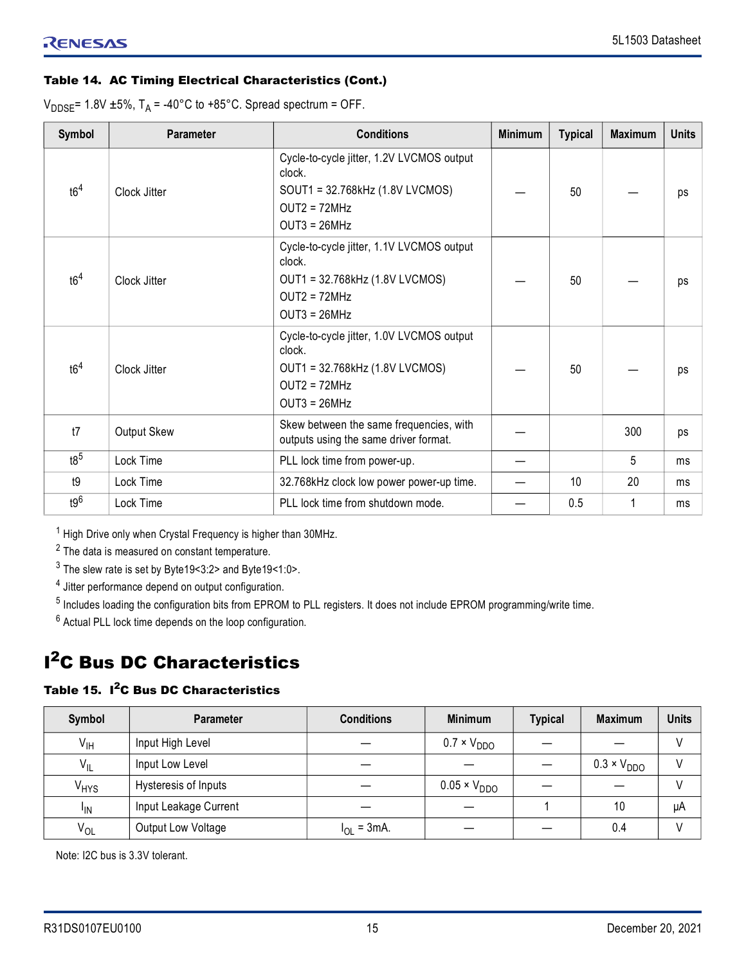## Table 14. AC Timing Electrical Characteristics (Cont.)

 $V_{\text{DDSE}}$ = 1.8V ±5%, T<sub>A</sub> = -40°C to +85°C. Spread spectrum = OFF.

| <b>Symbol</b>   | <b>Parameter</b> | <b>Conditions</b>                                                                                                          | <b>Minimum</b> | <b>Typical</b> | <b>Maximum</b> | <b>Units</b> |
|-----------------|------------------|----------------------------------------------------------------------------------------------------------------------------|----------------|----------------|----------------|--------------|
| t6 <sup>4</sup> | Clock Jitter     | Cycle-to-cycle jitter, 1.2V LVCMOS output<br>clock.<br>SOUT1 = 32.768kHz (1.8V LVCMOS)<br>$OUT2 = 72MHz$<br>$OUT3 = 26MHz$ |                | 50             |                | ps           |
| t6 <sup>4</sup> | Clock Jitter     | Cycle-to-cycle jitter, 1.1V LVCMOS output<br>clock.<br>OUT1 = 32.768kHz (1.8V LVCMOS)<br>$OUT2 = 72MHz$<br>$OUT3 = 26MHz$  |                | 50             |                | ps           |
| t6 <sup>4</sup> | Clock Jitter     | Cycle-to-cycle jitter, 1.0V LVCMOS output<br>clock.<br>OUT1 = 32.768kHz (1.8V LVCMOS)<br>$OUT2 = 72MHz$<br>$OUT3 = 26MHz$  |                | 50             |                | ps           |
| t7              | Output Skew      | Skew between the same frequencies, with<br>outputs using the same driver format.                                           |                |                | 300            | ps           |
| t8 <sup>5</sup> | Lock Time        | PLL lock time from power-up.                                                                                               |                |                | 5              | ms           |
| t9              | Lock Time        | 32.768kHz clock low power power-up time.                                                                                   |                | 10             | 20             | ms           |
| $t9^6$          | Lock Time        | PLL lock time from shutdown mode.                                                                                          |                | 0.5            |                | ms           |

<sup>1</sup> High Drive only when Crystal Frequency is higher than 30MHz.

 $2$  The data is measured on constant temperature.

 $^3$  The slew rate is set by Byte19<3:2> and Byte19<1:0>.

<sup>4</sup> Jitter performance depend on output configuration.

<sup>5</sup> Includes loading the configuration bits from EPROM to PLL registers. It does not include EPROM programming/write time.

 $6$  Actual PLL lock time depends on the loop configuration.

# <span id="page-14-0"></span>**I<sup>2</sup>C Bus DC Characteristics**

#### Table 15. I<sup>2</sup>C Bus DC Characteristics

| Symbol           | Parameter             | <b>Conditions</b> | <b>Minimum</b>        | <b>Typical</b> | <b>Maximum</b>       | <b>Units</b> |
|------------------|-----------------------|-------------------|-----------------------|----------------|----------------------|--------------|
| $V_{\text{IH}}$  | Input High Level      |                   | $0.7 \times V_{DDO}$  |                |                      |              |
| $V_{IL}$         | Input Low Level       |                   |                       |                | $0.3 \times V_{DDO}$ |              |
| V <sub>HYS</sub> | Hysteresis of Inputs  |                   | $0.05 \times V_{DDO}$ |                |                      |              |
| <sup>I</sup> IN  | Input Leakage Current |                   |                       |                | 10                   | μA           |
| V <sub>OL</sub>  | Output Low Voltage    | $I_{OL}$ = 3mA.   |                       |                | 0.4                  |              |

Note: I2C bus is 3.3V tolerant.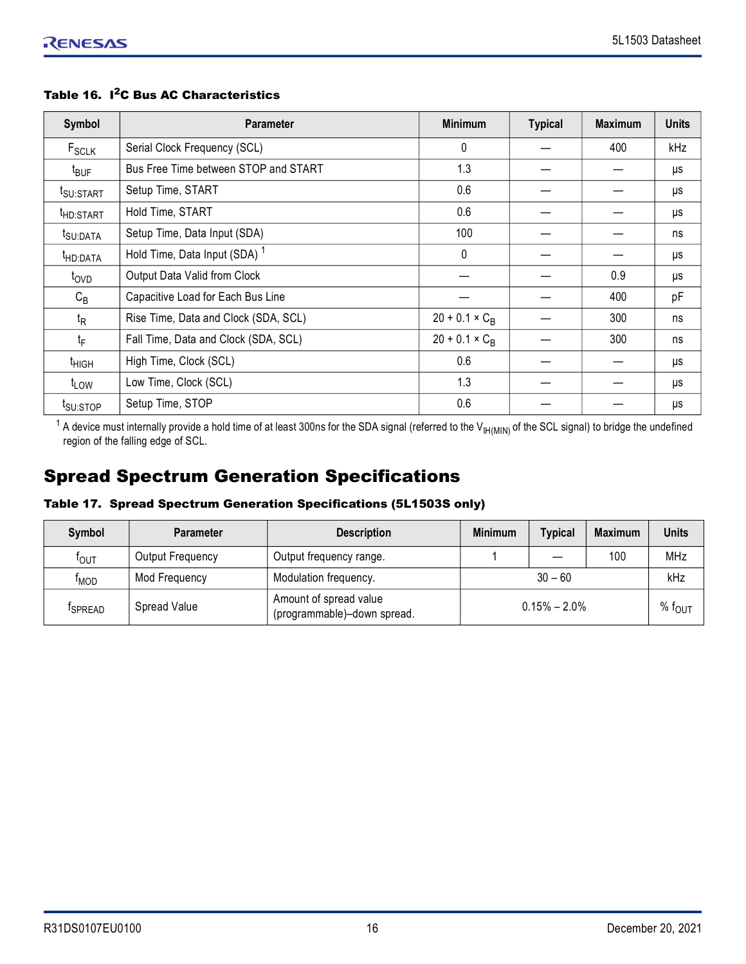| Symbol                | <b>Parameter</b>                         | <b>Minimum</b>        | <b>Typical</b> | <b>Maximum</b> | <b>Units</b> |
|-----------------------|------------------------------------------|-----------------------|----------------|----------------|--------------|
| F <sub>SCLK</sub>     | Serial Clock Frequency (SCL)             | 0                     |                | 400            | kHz          |
| t <sub>BUF</sub>      | Bus Free Time between STOP and START     | 1.3                   |                |                | μs           |
| t <sub>SU:START</sub> | Setup Time, START                        | 0.6                   |                |                | μs           |
| <sup>t</sup> HD:START | Hold Time, START                         | 0.6                   |                |                | μs           |
| t <sub>SU:DATA</sub>  | Setup Time, Data Input (SDA)             | 100                   |                |                | ns           |
| <sup>t</sup> HD:DATA  | Hold Time, Data Input (SDA) <sup>1</sup> | $\mathbf{0}$          |                |                | μs           |
| t <sub>OVD</sub>      | Output Data Valid from Clock             |                       |                | 0.9            | μs           |
| $C_B$                 | Capacitive Load for Each Bus Line        |                       |                | 400            | pF           |
| $t_{\mathsf{R}}$      | Rise Time, Data and Clock (SDA, SCL)     | $20 + 0.1 \times C_B$ |                | 300            | ns           |
| t <sub>F</sub>        | Fall Time, Data and Clock (SDA, SCL)     | $20 + 0.1 \times C_R$ |                | 300            | ns           |
| t <sub>HIGH</sub>     | High Time, Clock (SCL)                   | 0.6                   |                |                | μs           |
| $t_{LOW}$             | Low Time, Clock (SCL)                    | 1.3                   |                |                | μs           |
| t <sub>SU:STOP</sub>  | Setup Time, STOP                         | 0.6                   |                |                | μs           |

#### Table 16. I<sup>2</sup>C Bus AC Characteristics

 $^{\text{1}}$  A device must internally provide a hold time of at least 300ns for the SDA signal (referred to the V<sub>IH(MIN)</sub> of the SCL signal) to bridge the undefined region of the falling edge of SCL.

# <span id="page-15-0"></span>Spread Spectrum Generation Specifications

## Table 17. Spread Spectrum Generation Specifications (5L1503S only)

| Symbol             | <b>Parameter</b> | <b>Description</b>                                    | <b>Minimum</b> | <b>Typical</b>   | <b>Maximum</b> | <b>Units</b>       |
|--------------------|------------------|-------------------------------------------------------|----------------|------------------|----------------|--------------------|
| $t_{\mathsf{OUT}}$ | Output Frequency | Output frequency range.                               |                |                  | 100            | <b>MHz</b>         |
| <sup>T</sup> MOD   | Mod Frequency    | Modulation frequency.                                 |                | $30 - 60$        |                | kHz                |
| <b>ISPREAD</b>     | Spread Value     | Amount of spread value<br>(programmable)-down spread. |                | $0.15\% - 2.0\%$ |                | % $f_{\text{OUT}}$ |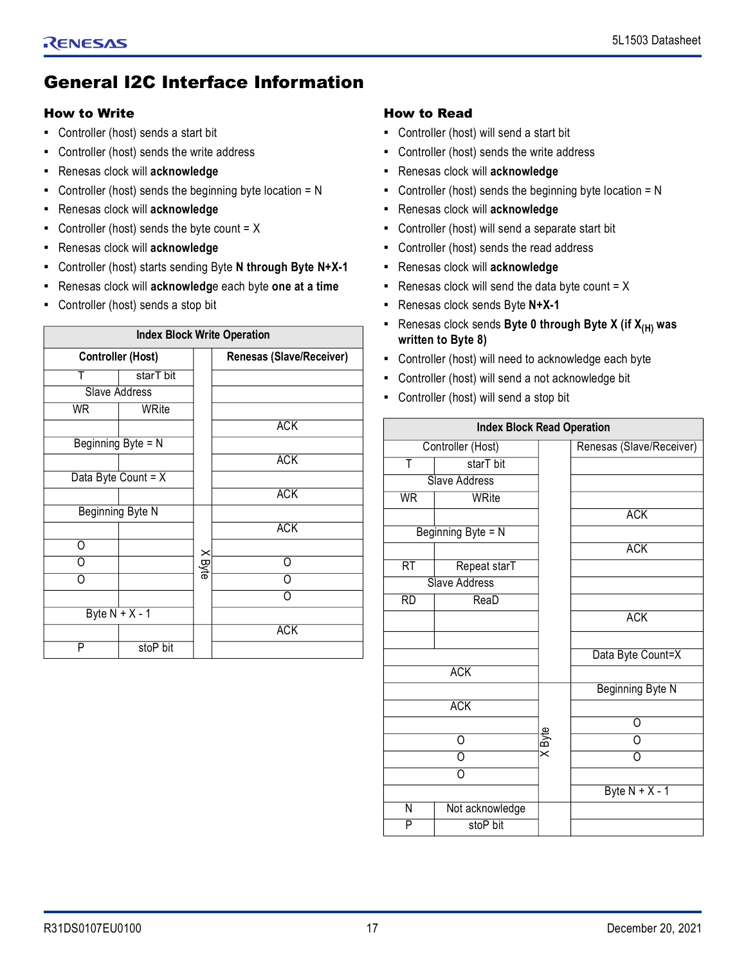# <span id="page-16-0"></span>General I2C Interface Information

### <span id="page-16-1"></span>How to Write

- Controller (host) sends a start bit
- Controller (host) sends the write address
- Renesas clock will **acknowledge**
- Controller (host) sends the beginning byte location = N
- Renesas clock will **acknowledge**
- **•** Controller (host) sends the byte count  $= X$
- Renesas clock will **acknowledge**
- Controller (host) starts sending Byte **N through Byte N+X-1**
- Renesas clock will **acknowledg**e each byte **one at a time**
- Controller (host) sends a stop bit

|    |                          |              | <b>Index Block Write Operation</b> |
|----|--------------------------|--------------|------------------------------------|
|    | <b>Controller (Host)</b> |              | <b>Renesas (Slave/Receiver)</b>    |
| Т  | starT bit                |              |                                    |
|    | Slave Address            |              |                                    |
| WR | WRite                    |              |                                    |
|    |                          |              | <b>ACK</b>                         |
|    | Beginning Byte = N       |              |                                    |
|    |                          |              | <b>ACK</b>                         |
|    | Data Byte Count = $X$    |              |                                    |
|    |                          |              | <b>ACK</b>                         |
|    | Beginning Byte N         |              |                                    |
|    |                          |              | <b>ACK</b>                         |
| ∩  |                          |              |                                    |
| ∩  |                          | <b>XByte</b> | Ω                                  |
|    |                          |              |                                    |
|    |                          |              |                                    |
|    | Byte $N + X - 1$         |              |                                    |
|    |                          |              | <b>ACK</b>                         |
| P  | stoP bit                 |              |                                    |

## <span id="page-16-2"></span>How to Read

- Controller (host) will send a start bit
- Controller (host) sends the write address
- Renesas clock will **acknowledge**
- Controller (host) sends the beginning byte location  $= N$
- Renesas clock will **acknowledge**
- Controller (host) will send a separate start bit
- Controller (host) sends the read address
- Renesas clock will **acknowledge**
- **•** Renesas clock will send the data byte count  $= X$
- Renesas clock sends Byte **N+X-1**
- Renesas clock sends **Byte 0 through Byte X (if X(H) was written to Byte 8)**
- Controller (host) will need to acknowledge each byte
- Controller (host) will send a not acknowledge bit
- Controller (host) will send a stop bit

|                 | <b>Index Block Read Operation</b> |        |                          |
|-----------------|-----------------------------------|--------|--------------------------|
|                 | Controller (Host)                 |        | Renesas (Slave/Receiver) |
| T               | starT bit                         |        |                          |
|                 | <b>Slave Address</b>              |        |                          |
| <b>WR</b>       | WRite                             |        |                          |
|                 |                                   |        | <b>ACK</b>               |
|                 | Beginning Byte = N                |        |                          |
|                 |                                   |        | <b>ACK</b>               |
| $\overline{RT}$ | Repeat starT                      |        |                          |
|                 | <b>Slave Address</b>              |        |                          |
| RD              | ReaD                              |        |                          |
|                 |                                   |        | <b>ACK</b>               |
|                 |                                   |        |                          |
|                 |                                   |        | Data Byte Count=X        |
|                 | <b>ACK</b>                        |        |                          |
|                 |                                   |        | Beginning Byte N         |
|                 | <b>ACK</b>                        |        |                          |
|                 |                                   |        | O                        |
|                 | O                                 | X Byte | Ω                        |
|                 | 0                                 |        | O                        |
|                 | 0                                 |        |                          |
|                 |                                   |        | Byte $N + X - 1$         |
| N               | Not acknowledge                   |        |                          |
| P               | stoP bit                          |        |                          |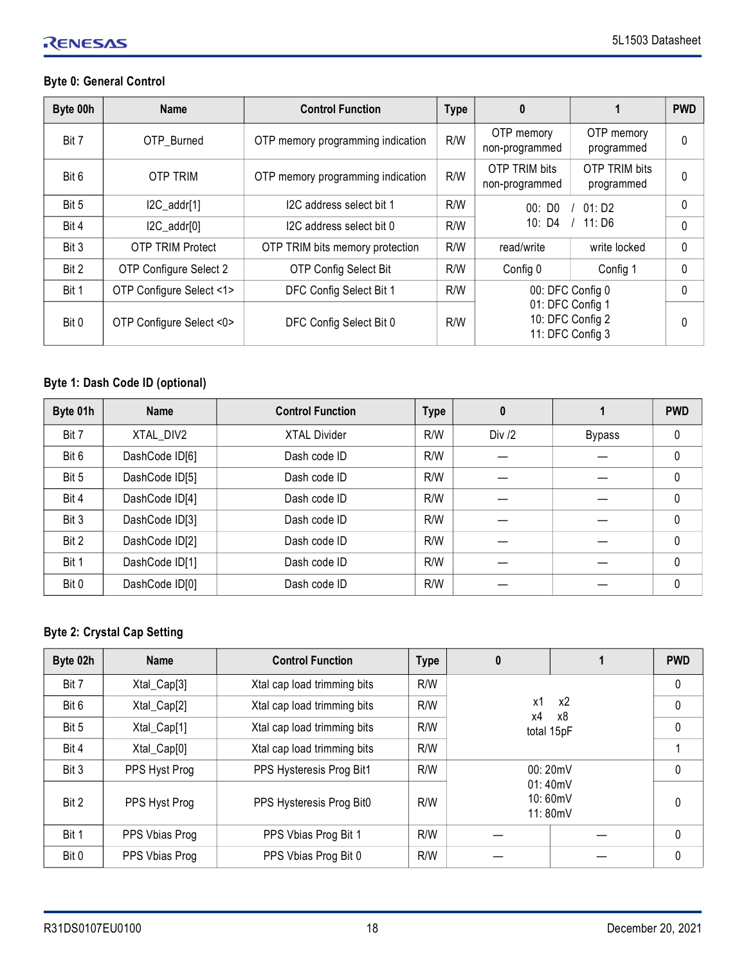# RENESAS

# **Byte 0: General Control**

| Byte 00h | <b>Name</b>              | <b>Control Function</b>           | <b>Type</b> | $\boldsymbol{0}$                                                             |                                    | <b>PWD</b> |
|----------|--------------------------|-----------------------------------|-------------|------------------------------------------------------------------------------|------------------------------------|------------|
| Bit 7    | OTP Burned               | OTP memory programming indication | R/W         | OTP memory<br>non-programmed                                                 | OTP memory<br>programmed           | 0          |
| Bit 6    | <b>OTP TRIM</b>          | OTP memory programming indication | R/W         | OTP TRIM bits<br>non-programmed                                              | <b>OTP TRIM bits</b><br>programmed | 0          |
| Bit 5    | $IC\_addr[1]$            | I2C address select bit 1          | R/W         | 00:DD0                                                                       | 01: D2                             | 0          |
| Bit 4    | $IC\_addr[0]$            | I2C address select bit 0          | R/W         | 10: D4                                                                       | 11:DB                              | 0          |
| Bit 3    | <b>OTP TRIM Protect</b>  | OTP TRIM bits memory protection   | R/W         | read/write                                                                   | write locked                       | 0          |
| Bit 2    | OTP Configure Select 2   | <b>OTP Config Select Bit</b>      | R/W         | Config 0                                                                     | Config 1                           | 0          |
| Bit 1    | OTP Configure Select <1> | DFC Config Select Bit 1           | R/W         | 00: DFC Config 0<br>01: DFC Config 1<br>10: DFC Config 2<br>11: DFC Config 3 |                                    | 0          |
| Bit 0    | OTP Configure Select <0> | DFC Config Select Bit 0           | R/W         |                                                                              |                                    | 0          |

# **Byte 1: Dash Code ID (optional)**

| Byte 01h | <b>Name</b>    | <b>Control Function</b> | <b>Type</b> | 0        |               | <b>PWD</b> |
|----------|----------------|-------------------------|-------------|----------|---------------|------------|
| Bit 7    | XTAL DIV2      | <b>XTAL Divider</b>     | R/W         | Div $/2$ | <b>Bypass</b> | 0          |
| Bit 6    | DashCode ID[6] | Dash code ID            | R/W         |          |               | $\pmb{0}$  |
| Bit 5    | DashCode ID[5] | Dash code ID            | R/W         |          |               | $\pmb{0}$  |
| Bit 4    | DashCode ID[4] | Dash code ID            | R/W         |          |               | 0          |
| Bit 3    | DashCode ID[3] | Dash code ID            | R/W         |          |               | 0          |
| Bit 2    | DashCode ID[2] | Dash code ID            | R/W         |          |               | $\pmb{0}$  |
| Bit 1    | DashCode ID[1] | Dash code ID            | R/W         |          |               | $\pmb{0}$  |
| Bit 0    | DashCode ID[0] | Dash code ID            | R/W         |          |               | 0          |

## **Byte 2: Crystal Cap Setting**

| Byte 02h | <b>Name</b>    | <b>Control Function</b>     | <b>Type</b> | 0                             |              | <b>PWD</b>   |
|----------|----------------|-----------------------------|-------------|-------------------------------|--------------|--------------|
| Bit 7    | Xtal_Cap[3]    | Xtal cap load trimming bits | R/W         |                               |              | $\mathbf{0}$ |
| Bit 6    | Xtal_Cap[2]    | Xtal cap load trimming bits | R/W         | x1<br>х4                      | $\mathbf{0}$ |              |
| Bit 5    | Xtal_Cap[1]    | Xtal cap load trimming bits | R/W         | total 15pF                    | $\mathbf{0}$ |              |
| Bit 4    | Xtal_Cap[0]    | Xtal cap load trimming bits | R/W         |                               |              |              |
| Bit 3    | PPS Hyst Prog  | PPS Hysteresis Prog Bit1    | R/W         |                               | 00:20mV      | $\mathbf{0}$ |
| Bit 2    | PPS Hyst Prog  | PPS Hysteresis Prog Bit0    | R/W         | 01:40mV<br>10:60mV<br>11:80mV |              | $\mathbf{0}$ |
| Bit 1    | PPS Vbias Prog | PPS Vbias Prog Bit 1        | R/W         |                               |              | $\mathbf{0}$ |
| Bit 0    | PPS Vbias Prog | PPS Vbias Prog Bit 0        | R/W         |                               |              | $\mathbf{0}$ |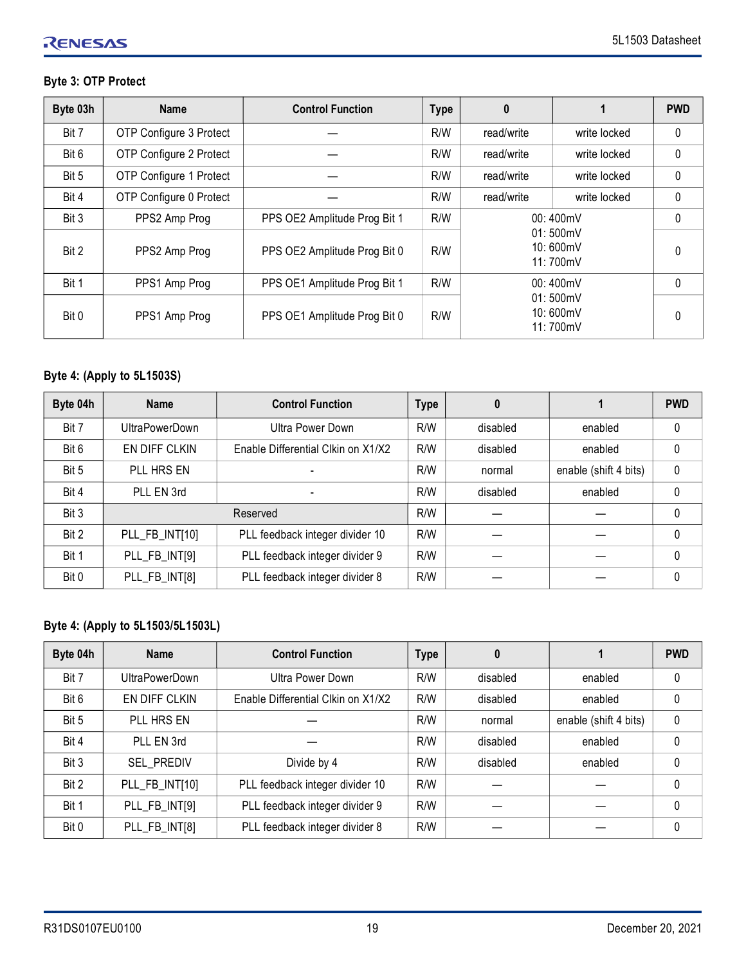## **Byte 3: OTP Protect**

| Byte 03h | <b>Name</b>             | <b>Control Function</b>      | <b>Type</b> | $\boldsymbol{0}$ |                                  | <b>PWD</b>   |
|----------|-------------------------|------------------------------|-------------|------------------|----------------------------------|--------------|
| Bit 7    | OTP Configure 3 Protect |                              | R/W         | read/write       | write locked                     | 0            |
| Bit 6    | OTP Configure 2 Protect |                              | R/W         | read/write       | write locked                     | $\Omega$     |
| Bit 5    | OTP Configure 1 Protect |                              | R/W         | read/write       | write locked                     | 0            |
| Bit 4    | OTP Configure 0 Protect |                              | R/W         | read/write       | write locked                     | $\Omega$     |
| Bit 3    | PPS2 Amp Prog           | PPS OE2 Amplitude Prog Bit 1 | R/W         |                  | 00:400mV                         | $\mathbf{0}$ |
| Bit 2    | PPS2 Amp Prog           | PPS OE2 Amplitude Prog Bit 0 | R/W         |                  | 01:500mV<br>10:600mV<br>11:700mV | 0            |
| Bit 1    | PPS1 Amp Prog           | PPS OE1 Amplitude Prog Bit 1 | R/W         |                  | 00:400mV                         | $\Omega$     |
| Bit 0    | PPS1 Amp Prog           | PPS OE1 Amplitude Prog Bit 0 | R/W         |                  | 01:500mV<br>10:600mV<br>11:700mV | 0            |

## **Byte 4: (Apply to 5L1503S)**

| Byte 04h | <b>Name</b>           | <b>Control Function</b>            | <b>Type</b> | 0        |                       | <b>PWD</b>   |
|----------|-----------------------|------------------------------------|-------------|----------|-----------------------|--------------|
| Bit 7    | <b>UltraPowerDown</b> | <b>Ultra Power Down</b>            | R/W         | disabled | enabled               | $\mathbf{0}$ |
| Bit 6    | EN DIFF CLKIN         | Enable Differential Clkin on X1/X2 | R/W         | disabled | enabled               | 0            |
| Bit 5    | PLL HRS EN            |                                    | R/W         | normal   | enable (shift 4 bits) | $\mathbf 0$  |
| Bit 4    | PLL EN 3rd            | $\overline{\phantom{0}}$           | R/W         | disabled | enabled               | $\mathbf{0}$ |
| Bit 3    |                       | Reserved                           | R/W         |          |                       | $\mathbf{0}$ |
| Bit 2    | PLL_FB_INT[10]        | PLL feedback integer divider 10    | R/W         |          |                       | $\mathbf{0}$ |
| Bit 1    | PLL_FB_INT[9]         | PLL feedback integer divider 9     | R/W         |          |                       | $\mathbf{0}$ |
| Bit 0    | PLL_FB_INT[8]         | PLL feedback integer divider 8     | R/W         |          |                       | $\mathbf{0}$ |

## **Byte 4: (Apply to 5L1503/5L1503L)**

| Byte 04h | <b>Name</b>           | <b>Control Function</b>            | <b>Type</b> |          |                       | <b>PWD</b> |
|----------|-----------------------|------------------------------------|-------------|----------|-----------------------|------------|
| Bit 7    | <b>UltraPowerDown</b> | Ultra Power Down                   | R/W         | disabled | enabled               | $\Omega$   |
| Bit 6    | EN DIFF CLKIN         | Enable Differential Clkin on X1/X2 | R/W         | disabled | enabled               | 0          |
| Bit 5    | PLL HRS EN            |                                    | R/W         | normal   | enable (shift 4 bits) | $\Omega$   |
| Bit 4    | PLL EN 3rd            |                                    | R/W         | disabled | enabled               | $\Omega$   |
| Bit 3    | <b>SEL PREDIV</b>     | Divide by 4                        | R/W         | disabled | enabled               | $\Omega$   |
| Bit 2    | PLL_FB_INT[10]        | PLL feedback integer divider 10    | R/W         |          |                       | $\Omega$   |
| Bit 1    | PLL_FB_INT[9]         | PLL feedback integer divider 9     | R/W         |          |                       | $\Omega$   |
| Bit 0    | PLL_FB_INT[8]         | PLL feedback integer divider 8     | R/W         |          |                       | $\Omega$   |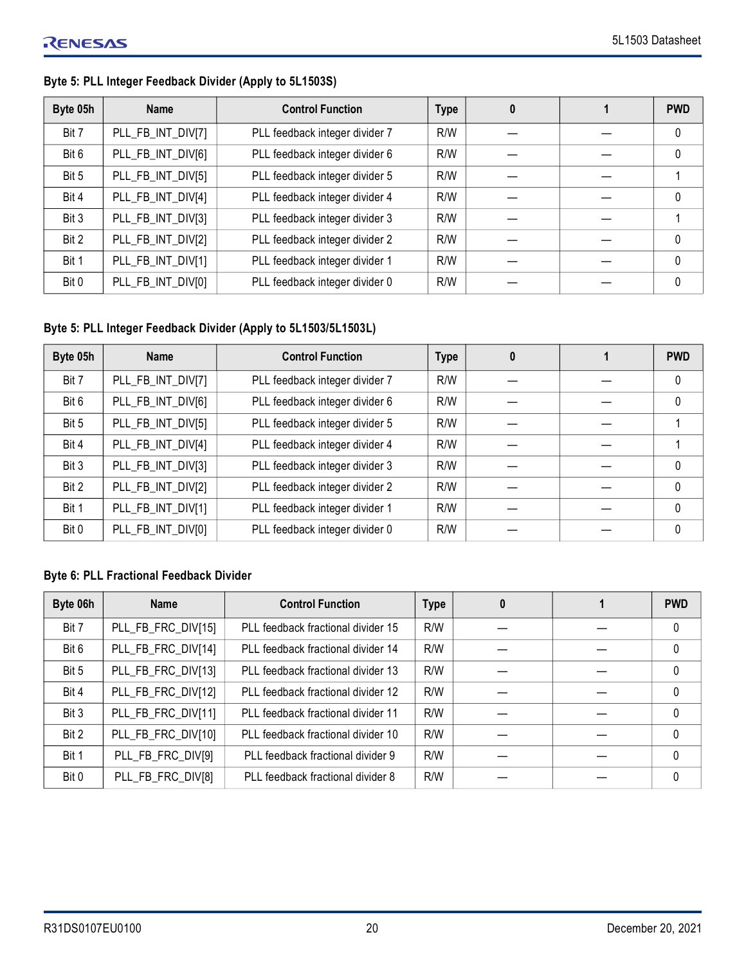# **Byte 05h Name Control Function Type 0 1 PWD** Bit 7 | PLL\_FB\_INT\_DIV[7] | PLL feedback integer divider 7 | R/W | — | — | O Bit 6 | PLL\_FB\_INT\_DIV[6] | PLL feedback integer divider 6 | R/W |  $-$  |  $-$  | 0 Bit 5 | PLL\_FB\_INT\_DIV[5] | PLL feedback integer divider 5 | R/W |  $-$  |  $-$  | 1 Bit 4 | PLL\_FB\_INT\_DIV[4] | PLL feedback integer divider 4 | R/W |  $-$  |  $-$  | 0 Bit 3 | PLL\_FB\_INT\_DIV[3] | PLL feedback integer divider 3 | R/W |  $-$  |  $-$  | 1 Bit 2 | PLL\_FB\_INT\_DIV[2] | PLL feedback integer divider 2 | R/W |  $-$  |  $-$  | 0 Bit 1 | PLL\_FB\_INT\_DIV[1] | PLL feedback integer divider 1 | R/W | | | | | | | | | | | | | | 0 Bit 0 | PLL\_FB\_INT\_DIV[0] | PLL feedback integer divider 0 | R/W | — | — | 0

#### **Byte 5: PLL Integer Feedback Divider (Apply to 5L1503S)**

#### **Byte 5: PLL Integer Feedback Divider (Apply to 5L1503/5L1503L)**

| Byte 05h | <b>Name</b>       | <b>Control Function</b>        | <b>Type</b> | 0 | <b>PWD</b> |
|----------|-------------------|--------------------------------|-------------|---|------------|
| Bit 7    | PLL_FB_INT_DIV[7] | PLL feedback integer divider 7 | R/W         |   | 0          |
| Bit 6    | PLL_FB_INT_DIV[6] | PLL feedback integer divider 6 | R/W         |   | 0          |
| Bit 5    | PLL_FB_INT_DIV[5] | PLL feedback integer divider 5 | R/W         |   |            |
| Bit 4    | PLL_FB_INT_DIV[4] | PLL feedback integer divider 4 | R/W         |   |            |
| Bit 3    | PLL_FB_INT_DIV[3] | PLL feedback integer divider 3 | R/W         |   | $\Omega$   |
| Bit 2    | PLL_FB_INT_DIV[2] | PLL feedback integer divider 2 | R/W         |   | $\Omega$   |
| Bit 1    | PLL_FB_INT_DIV[1] | PLL feedback integer divider 1 | R/W         |   | $\Omega$   |
| Bit 0    | PLL_FB_INT_DIV[0] | PLL feedback integer divider 0 | R/W         |   | $\Omega$   |

#### **Byte 6: PLL Fractional Feedback Divider**

| Byte 06h | <b>Name</b>        | <b>Control Function</b>            | <b>Type</b> | 0 | <b>PWD</b>   |
|----------|--------------------|------------------------------------|-------------|---|--------------|
| Bit 7    | PLL_FB_FRC_DIV[15] | PLL feedback fractional divider 15 | R/W         |   | 0            |
| Bit 6    | PLL_FB_FRC_DIV[14] | PLL feedback fractional divider 14 | R/W         |   | 0            |
| Bit 5    | PLL_FB_FRC_DIV[13] | PLL feedback fractional divider 13 | R/W         |   | 0            |
| Bit 4    | PLL_FB_FRC_DIV[12] | PLL feedback fractional divider 12 | R/W         |   | $\mathbf{0}$ |
| Bit 3    | PLL_FB_FRC_DIV[11] | PLL feedback fractional divider 11 | R/W         |   | $\mathbf{0}$ |
| Bit 2    | PLL_FB_FRC_DIV[10] | PLL feedback fractional divider 10 | R/W         |   | $\mathbf 0$  |
| Bit 1    | PLL_FB_FRC_DIV[9]  | PLL feedback fractional divider 9  | R/W         |   | 0            |
| Bit 0    | PLL_FB_FRC_DIV[8]  | PLL feedback fractional divider 8  | R/W         |   | 0            |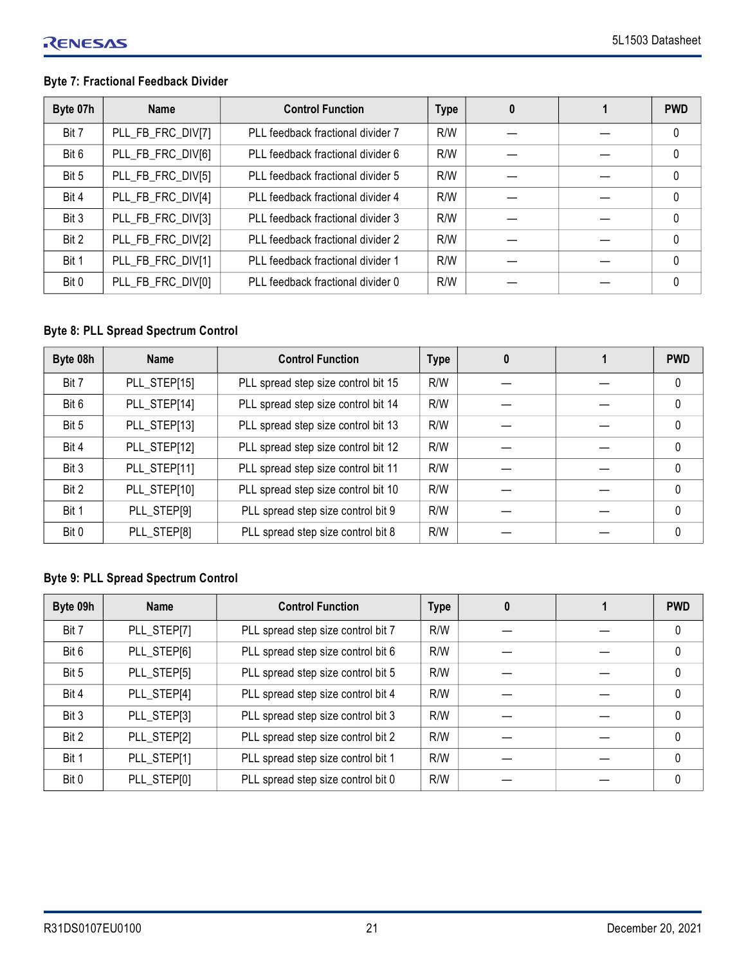## **Byte 7: Fractional Feedback Divider**

| Byte 07h | <b>Name</b>       | <b>Control Function</b>           | <b>Type</b> | 0 | <b>PWD</b>  |
|----------|-------------------|-----------------------------------|-------------|---|-------------|
| Bit 7    | PLL_FB_FRC_DIV[7] | PLL feedback fractional divider 7 | R/W         |   | $\mathbf 0$ |
| Bit 6    | PLL_FB_FRC_DIV[6] | PLL feedback fractional divider 6 | R/W         |   | $\mathbf 0$ |
| Bit 5    | PLL_FB_FRC_DIV[5] | PLL feedback fractional divider 5 | R/W         |   | $\Omega$    |
| Bit 4    | PLL_FB_FRC_DIV[4] | PLL feedback fractional divider 4 | R/W         |   | $\Omega$    |
| Bit 3    | PLL_FB_FRC_DIV[3] | PLL feedback fractional divider 3 | R/W         |   | $\Omega$    |
| Bit 2    | PLL_FB_FRC_DIV[2] | PLL feedback fractional divider 2 | R/W         |   | $\Omega$    |
| Bit 1    | PLL_FB_FRC_DIV[1] | PLL feedback fractional divider 1 | R/W         |   | $\Omega$    |
| Bit 0    | PLL_FB_FRC_DIV[0] | PLL feedback fractional divider 0 | R/W         |   | $\Omega$    |

## **Byte 8: PLL Spread Spectrum Control**

| Byte 08h | <b>Name</b>  | <b>Control Function</b>             | <b>Type</b> | 0 | <b>PWD</b>   |
|----------|--------------|-------------------------------------|-------------|---|--------------|
| Bit 7    | PLL_STEP[15] | PLL spread step size control bit 15 | R/W         |   | $\mathbf{0}$ |
| Bit 6    | PLL_STEP[14] | PLL spread step size control bit 14 | R/W         |   | $\mathbf 0$  |
| Bit 5    | PLL_STEP[13] | PLL spread step size control bit 13 | R/W         |   | $\mathbf 0$  |
| Bit 4    | PLL_STEP[12] | PLL spread step size control bit 12 | R/W         |   | $\mathbf 0$  |
| Bit 3    | PLL_STEP[11] | PLL spread step size control bit 11 | R/W         |   | $\Omega$     |
| Bit 2    | PLL_STEP[10] | PLL spread step size control bit 10 | R/W         |   | $\Omega$     |
| Bit 1    | PLL_STEP[9]  | PLL spread step size control bit 9  | R/W         |   | $\Omega$     |
| Bit 0    | PLL_STEP[8]  | PLL spread step size control bit 8  | R/W         |   | $\mathbf{0}$ |

# **Byte 9: PLL Spread Spectrum Control**

| Byte 09h | <b>Name</b> | <b>Control Function</b>            | <b>Type</b> | 0 | <b>PWD</b> |
|----------|-------------|------------------------------------|-------------|---|------------|
| Bit 7    | PLL_STEP[7] | PLL spread step size control bit 7 | R/W         |   | 0          |
| Bit 6    | PLL_STEP[6] | PLL spread step size control bit 6 | R/W         |   | 0          |
| Bit 5    | PLL_STEP[5] | PLL spread step size control bit 5 | R/W         |   | 0          |
| Bit 4    | PLL_STEP[4] | PLL spread step size control bit 4 | R/W         |   | $\Omega$   |
| Bit 3    | PLL_STEP[3] | PLL spread step size control bit 3 | R/W         |   | $\Omega$   |
| Bit 2    | PLL_STEP[2] | PLL spread step size control bit 2 | R/W         |   | $\Omega$   |
| Bit 1    | PLL_STEP[1] | PLL spread step size control bit 1 | R/W         |   | $\Omega$   |
| Bit 0    | PLL_STEP[0] | PLL spread step size control bit 0 | R/W         |   | $\Omega$   |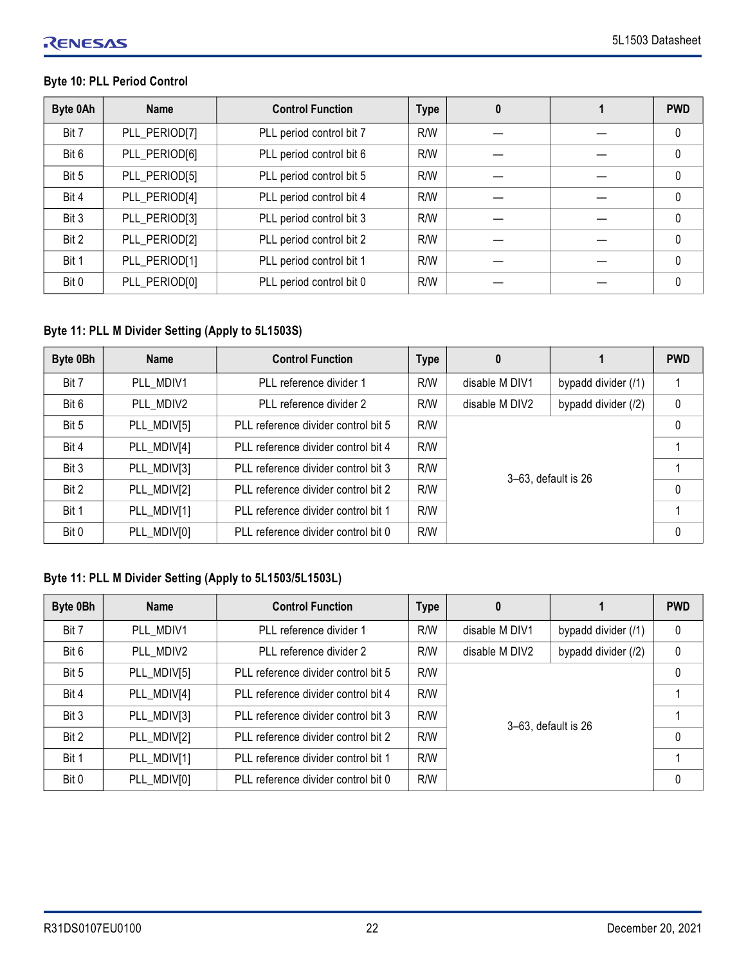# **Byte 10: PLL Period Control**

| Byte 0Ah | <b>Name</b>   | <b>Control Function</b>  | <b>Type</b> | 0 | <b>PWD</b>   |
|----------|---------------|--------------------------|-------------|---|--------------|
| Bit 7    | PLL_PERIOD[7] | PLL period control bit 7 | R/W         |   | $\mathbf{0}$ |
| Bit 6    | PLL_PERIOD[6] | PLL period control bit 6 | R/W         |   | $\mathbf 0$  |
| Bit 5    | PLL_PERIOD[5] | PLL period control bit 5 | R/W         |   | $\mathbf{0}$ |
| Bit 4    | PLL_PERIOD[4] | PLL period control bit 4 | R/W         |   | $\mathbf{0}$ |
| Bit 3    | PLL_PERIOD[3] | PLL period control bit 3 | R/W         |   | $\Omega$     |
| Bit 2    | PLL_PERIOD[2] | PLL period control bit 2 | R/W         |   | $\mathbf 0$  |
| Bit 1    | PLL_PERIOD[1] | PLL period control bit 1 | R/W         |   | $\Omega$     |
| Bit 0    | PLL_PERIOD[0] | PLL period control bit 0 | R/W         |   | $\Omega$     |

# **Byte 11: PLL M Divider Setting (Apply to 5L1503S)**

| Byte 0Bh | <b>Name</b> | <b>Control Function</b>             | <b>Type</b> | 0                   |                     | <b>PWD</b>   |
|----------|-------------|-------------------------------------|-------------|---------------------|---------------------|--------------|
| Bit 7    | PLL MDIV1   | PLL reference divider 1             | R/W         | disable M DIV1      | bypadd divider (/1) |              |
| Bit 6    | PLL MDIV2   | PLL reference divider 2             | R/W         | disable M DIV2      | bypadd divider (/2) | 0            |
| Bit 5    | PLL_MDIV[5] | PLL reference divider control bit 5 | R/W         |                     |                     | $\mathbf 0$  |
| Bit 4    | PLL_MDIV[4] | PLL reference divider control bit 4 | R/W         |                     |                     |              |
| Bit 3    | PLL_MDIV[3] | PLL reference divider control bit 3 | R/W         |                     |                     | 1            |
| Bit 2    | PLL_MDIV[2] | PLL reference divider control bit 2 | R/W         | 3-63, default is 26 |                     | $\mathbf{0}$ |
| Bit 1    | PLL_MDIV[1] | PLL reference divider control bit 1 | R/W         |                     |                     |              |
| Bit 0    | PLL_MDIV[0] | PLL reference divider control bit 0 | R/W         |                     |                     | $\mathbf{0}$ |

## **Byte 11: PLL M Divider Setting (Apply to 5L1503/5L1503L)**

| Byte 0Bh | <b>Name</b> | <b>Control Function</b>             | <b>Type</b> | 0                   |                     | <b>PWD</b> |
|----------|-------------|-------------------------------------|-------------|---------------------|---------------------|------------|
| Bit 7    | PLL MDIV1   | PLL reference divider 1             | R/W         | disable M DIV1      | bypadd divider (/1) | 0          |
| Bit 6    | PLL MDIV2   | PLL reference divider 2             | R/W         | disable M DIV2      | bypadd divider (/2) | $\pmb{0}$  |
| Bit 5    | PLL MDIV[5] | PLL reference divider control bit 5 | R/W         |                     |                     | 0          |
| Bit 4    | PLL MDIV[4] | PLL reference divider control bit 4 | R/W         |                     |                     |            |
| Bit 3    | PLL_MDIV[3] | PLL reference divider control bit 3 | R/W         |                     |                     |            |
| Bit 2    | PLL_MDIV[2] | PLL reference divider control bit 2 | R/W         | 3-63, default is 26 |                     | 0          |
| Bit 1    | PLL_MDIV[1] | PLL reference divider control bit 1 | R/W         |                     |                     |            |
| Bit 0    | PLL_MDIV[0] | PLL reference divider control bit 0 | R/W         |                     |                     | 0          |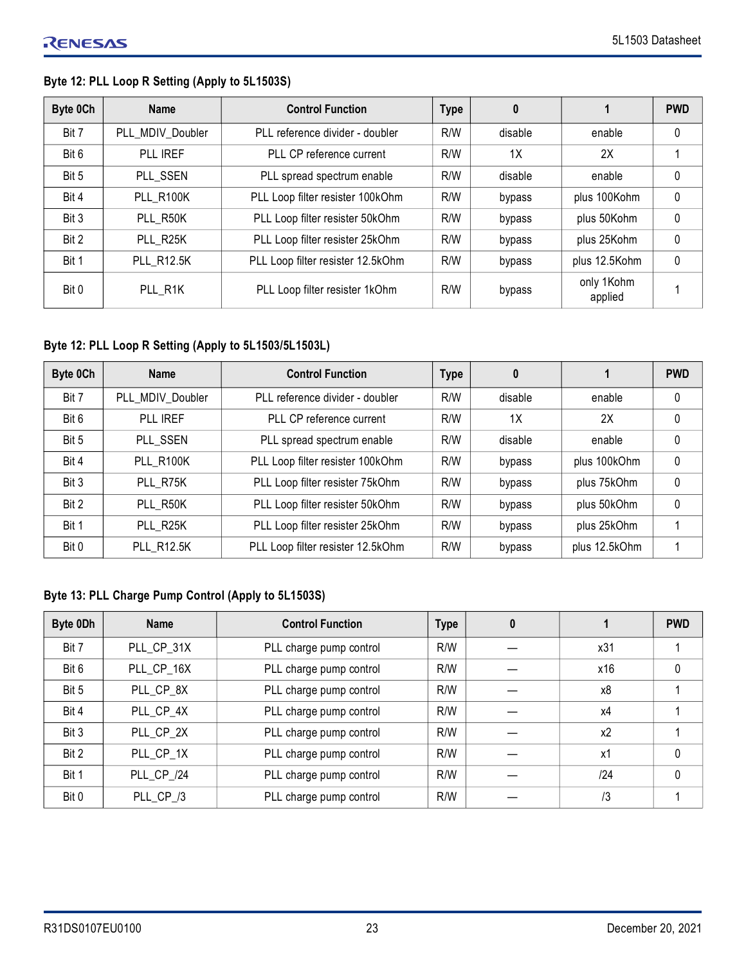## **Byte 12: PLL Loop R Setting (Apply to 5L1503S)**

| Byte 0Ch | <b>Name</b>       | <b>Control Function</b>           | <b>Type</b> | 0       |                       | <b>PWD</b>   |
|----------|-------------------|-----------------------------------|-------------|---------|-----------------------|--------------|
| Bit 7    | PLL MDIV Doubler  | PLL reference divider - doubler   | R/W         | disable | enable                | 0            |
| Bit 6    | PLL IREF          | PLL CP reference current          | R/W         | 1X      | 2X                    |              |
| Bit 5    | PLL SSEN          | PLL spread spectrum enable        | R/W         | disable | enable                | 0            |
| Bit 4    | PLL R100K         | PLL Loop filter resister 100kOhm  | R/W         | bypass  | plus 100Kohm          | 0            |
| Bit 3    | PLL R50K          | PLL Loop filter resister 50kOhm   | R/W         | bypass  | plus 50Kohm           | 0            |
| Bit 2    | PLL R25K          | PLL Loop filter resister 25kOhm   | R/W         | bypass  | plus 25Kohm           | $\mathbf{0}$ |
| Bit 1    | <b>PLL R12.5K</b> | PLL Loop filter resister 12.5kOhm | R/W         | bypass  | plus 12.5Kohm         | 0            |
| Bit 0    | PLL R1K           | PLL Loop filter resister 1kOhm    | R/W         | bypass  | only 1Kohm<br>applied |              |

## **Byte 12: PLL Loop R Setting (Apply to 5L1503/5L1503L)**

| Byte 0Ch | <b>Name</b>       | <b>Control Function</b>           | <b>Type</b> | 0       |               | <b>PWD</b>   |
|----------|-------------------|-----------------------------------|-------------|---------|---------------|--------------|
| Bit 7    | PLL MDIV Doubler  | PLL reference divider - doubler   | R/W         | disable | enable        | 0            |
| Bit 6    | PLL IREF          | PLL CP reference current          | R/W         | 1X      | 2X            | 0            |
| Bit 5    | PLL SSEN          | PLL spread spectrum enable        | R/W         | disable | enable        | 0            |
| Bit 4    | PLL R100K         | PLL Loop filter resister 100kOhm  | R/W         | bypass  | plus 100kOhm  | $\mathbf{0}$ |
| Bit 3    | PLL R75K          | PLL Loop filter resister 75kOhm   | R/W         | bypass  | plus 75kOhm   | 0            |
| Bit 2    | PLL R50K          | PLL Loop filter resister 50kOhm   | R/W         | bypass  | plus 50kOhm   | 0            |
| Bit 1    | PLL R25K          | PLL Loop filter resister 25kOhm   | R/W         | bypass  | plus 25kOhm   |              |
| Bit 0    | <b>PLL R12.5K</b> | PLL Loop filter resister 12.5kOhm | R/W         | bypass  | plus 12.5kOhm |              |

#### **Byte 13: PLL Charge Pump Control (Apply to 5L1503S)**

| Byte 0Dh | <b>Name</b> | <b>Control Function</b> | <b>Type</b> | 0 |                | <b>PWD</b> |
|----------|-------------|-------------------------|-------------|---|----------------|------------|
| Bit 7    | PLL_CP_31X  | PLL charge pump control | R/W         |   | x31            |            |
| Bit 6    | PLL_CP_16X  | PLL charge pump control | R/W         |   | x16            | 0          |
| Bit 5    | PLL CP 8X   | PLL charge pump control | R/W         |   | x8             |            |
| Bit 4    | PLL CP 4X   | PLL charge pump control | R/W         |   | x4             |            |
| Bit 3    | PLL CP 2X   | PLL charge pump control | R/W         |   | x <sub>2</sub> |            |
| Bit 2    | PLL CP 1X   | PLL charge pump control | R/W         |   | x1             | $\theta$   |
| Bit 1    | PLL CP /24  | PLL charge pump control | R/W         |   | 124            | $\Omega$   |
| Bit 0    | PLL CP /3   | PLL charge pump control | R/W         |   | /3             |            |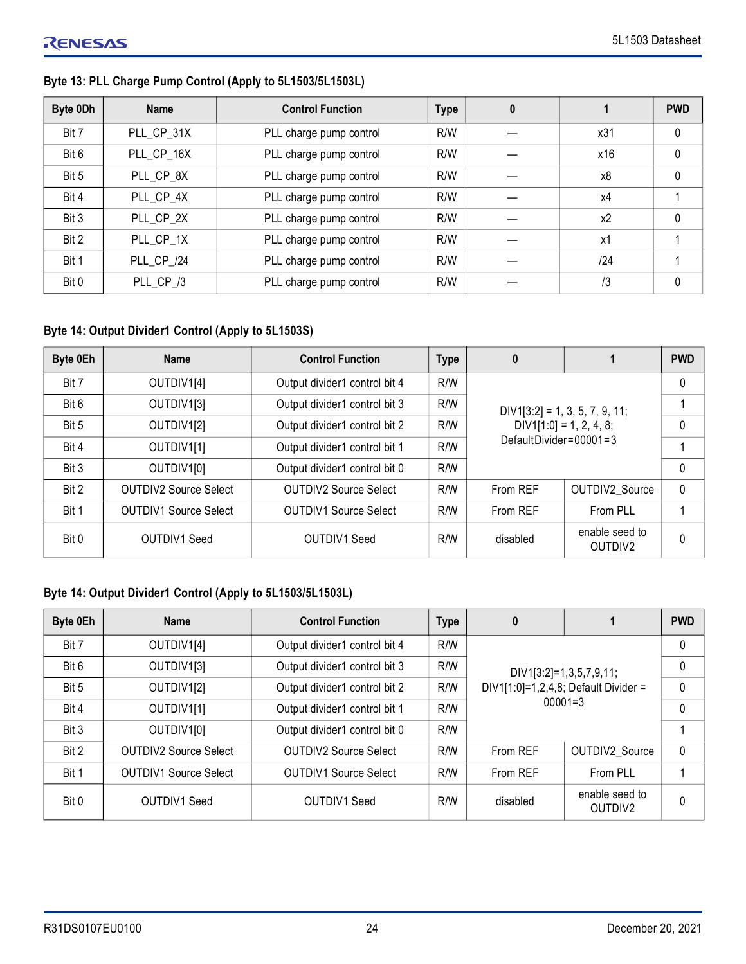## **Byte 13: PLL Charge Pump Control (Apply to 5L1503/5L1503L)**

| Byte 0Dh | <b>Name</b> | <b>Control Function</b> | <b>Type</b> | 0 |                | <b>PWD</b>   |
|----------|-------------|-------------------------|-------------|---|----------------|--------------|
| Bit 7    | PLL_CP_31X  | PLL charge pump control | R/W         |   | x31            | $\mathbf{0}$ |
| Bit 6    | PLL_CP_16X  | PLL charge pump control | R/W         |   | x16            | $\mathbf 0$  |
| Bit 5    | PLL CP 8X   | PLL charge pump control | R/W         |   | x8             | $\mathbf 0$  |
| Bit 4    | PLL_CP_4X   | PLL charge pump control | R/W         |   | x4             |              |
| Bit 3    | PLL CP 2X   | PLL charge pump control | R/W         |   | x <sub>2</sub> | $\mathbf 0$  |
| Bit 2    | PLL CP 1X   | PLL charge pump control | R/W         |   | x1             |              |
| Bit 1    | PLL CP /24  | PLL charge pump control | R/W         |   | 124            |              |
| Bit 0    | PLL_CP_/3   | PLL charge pump control | R/W         |   | /3             | $\mathbf{0}$ |

## **Byte 14: Output Divider1 Control (Apply to 5L1503S)**

| Byte 0Eh | <b>Name</b>                  | <b>Control Function</b>       | <b>Type</b> | 0                                |                                       | <b>PWD</b> |
|----------|------------------------------|-------------------------------|-------------|----------------------------------|---------------------------------------|------------|
| Bit 7    | OUTDIV1[4]                   | Output divider1 control bit 4 | R/W         |                                  | 0                                     |            |
| Bit 6    | OUTDIV1[3]                   | Output divider1 control bit 3 | R/W         | $DIV1[3:2] = 1, 3, 5, 7, 9, 11;$ |                                       |            |
| Bit 5    | OUTDIV1[2]                   | Output divider1 control bit 2 | R/W         | $DIV1[1:0] = 1, 2, 4, 8;$        | 0                                     |            |
| Bit 4    | OUTDIV1[1]                   | Output divider1 control bit 1 | R/W         | DefaultDivider= $00001 = 3$      |                                       |            |
| Bit 3    | OUTDIV1[0]                   | Output divider1 control bit 0 | R/W         |                                  |                                       | 0          |
| Bit 2    | <b>OUTDIV2 Source Select</b> | <b>OUTDIV2 Source Select</b>  | R/W         | From REF                         | OUTDIV2 Source                        | 0          |
| Bit 1    | <b>OUTDIV1 Source Select</b> | <b>OUTDIV1 Source Select</b>  | R/W         | From REF                         | From PLL                              |            |
| Bit 0    | OUTDIV1 Seed                 | <b>OUTDIV1 Seed</b>           | R/W         | disabled                         | enable seed to<br>OUTDIV <sub>2</sub> | 0          |

## **Byte 14: Output Divider1 Control (Apply to 5L1503/5L1503L)**

| Byte 0Eh | <b>Name</b>                  | <b>Control Function</b>       | <b>Type</b> | 0                                    |                                       | <b>PWD</b> |
|----------|------------------------------|-------------------------------|-------------|--------------------------------------|---------------------------------------|------------|
| Bit 7    | OUTDIV1[4]                   | Output divider1 control bit 4 | R/W         |                                      | 0                                     |            |
| Bit 6    | OUTDIV1[3]                   | Output divider1 control bit 3 | R/W         | DIV1[3:2]=1,3,5,7,9,11;              | 0                                     |            |
| Bit 5    | OUTDIV1[2]                   | Output divider1 control bit 2 | R/W         | DIV1[1:0]=1,2,4,8; Default Divider = | 0                                     |            |
| Bit 4    | OUTDIV1[1]                   | Output divider1 control bit 1 | R/W         | $00001 = 3$                          | 0                                     |            |
| Bit 3    | OUTDIV1[0]                   | Output divider1 control bit 0 | R/W         |                                      |                                       |            |
| Bit 2    | <b>OUTDIV2 Source Select</b> | OUTDIV2 Source Select         | R/W         | From REF                             | OUTDIV2 Source                        | 0          |
| Bit 1    | <b>OUTDIV1 Source Select</b> | <b>OUTDIV1 Source Select</b>  | R/W         | From REF                             | From PLL                              |            |
| Bit 0    | OUTDIV1 Seed                 | <b>OUTDIV1 Seed</b>           | R/W         | disabled                             | enable seed to<br>OUTDIV <sub>2</sub> | 0          |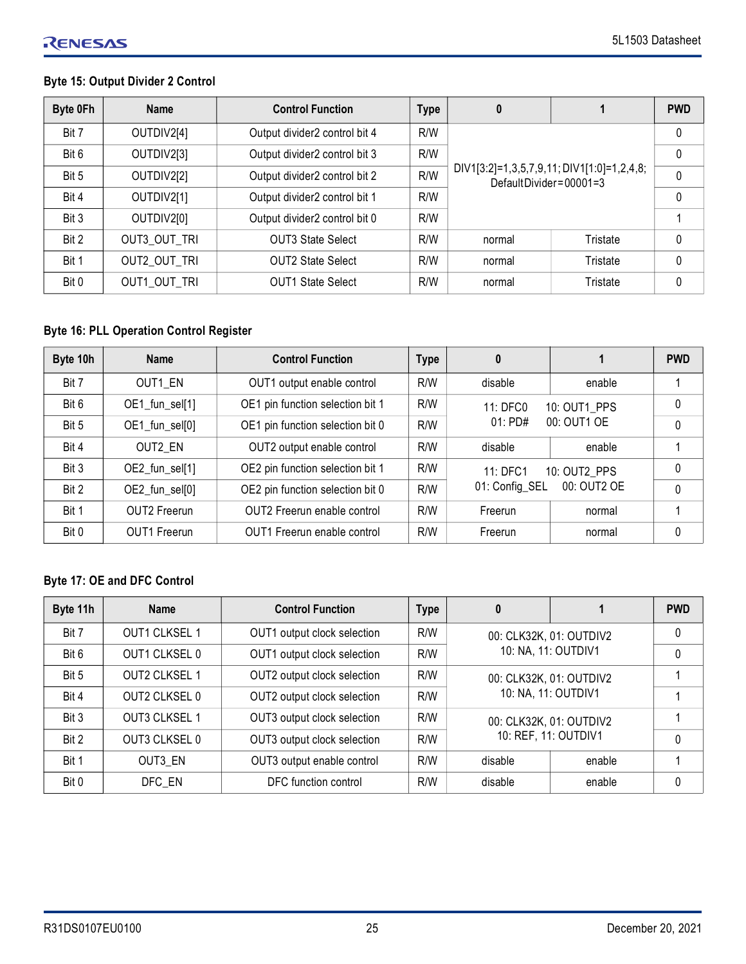## **Byte 15: Output Divider 2 Control**

| Byte 0Fh | <b>Name</b>  | <b>Control Function</b>       | <b>Type</b> | 0                                                                       |              | <b>PWD</b>   |  |
|----------|--------------|-------------------------------|-------------|-------------------------------------------------------------------------|--------------|--------------|--|
| Bit 7    | OUTDIV2[4]   | Output divider2 control bit 4 | R/W         |                                                                         | $\mathbf{0}$ |              |  |
| Bit 6    | OUTDIV2[3]   | Output divider2 control bit 3 | R/W         |                                                                         |              |              |  |
| Bit 5    | OUTDIV2[2]   | Output divider2 control bit 2 | R/W         | DIV1[3:2]=1,3,5,7,9,11; DIV1[1:0]=1,2,4,8;<br>DefaultDivider= $00001=3$ | 0            |              |  |
| Bit 4    | OUTDIV2[1]   | Output divider2 control bit 1 | R/W         |                                                                         | $\mathbf{0}$ |              |  |
| Bit 3    | OUTDIV2[0]   | Output divider2 control bit 0 | R/W         |                                                                         |              |              |  |
| Bit 2    | OUT3 OUT TRI | <b>OUT3 State Select</b>      | R/W         | normal                                                                  | Tristate     | $\Omega$     |  |
| Bit 1    | OUT2 OUT TRI | <b>OUT2 State Select</b>      | R/W         | normal                                                                  | Tristate     | $\Omega$     |  |
| Bit 0    | OUT1 OUT TRI | <b>OUT1 State Select</b>      | R/W         | normal                                                                  | Tristate     | $\mathbf{0}$ |  |

## **Byte 16: PLL Operation Control Register**

| Byte 10h | <b>Name</b>         | <b>Control Function</b>            | <b>Type</b> | 0                             |              | <b>PWD</b>   |
|----------|---------------------|------------------------------------|-------------|-------------------------------|--------------|--------------|
| Bit 7    | OUT1 EN             | OUT1 output enable control         | R/W         | disable                       | enable       |              |
| Bit 6    | OE1_fun_sel[1]      | OE1 pin function selection bit 1   | R/W         | 10: OUT1 PPS<br>11: DFC0      |              | $\mathbf{0}$ |
| Bit 5    | OE1_fun_sel[0]      | OE1 pin function selection bit 0   | R/W         | $01:$ PD#                     | 00: OUT1 OF  | $\mathbf{0}$ |
| Bit 4    | OUT2 EN             | OUT2 output enable control         | R/W         | disable                       | enable       |              |
| Bit 3    | OE2_fun_sel[1]      | OE2 pin function selection bit 1   | R/W         | 11: DFC1                      | 10: OUT2 PPS | $\Omega$     |
| Bit 2    | OE2_fun_sel[0]      | OE2 pin function selection bit 0   | R/W         | 00: OUT2 OE<br>01: Config_SEL |              | $\Omega$     |
| Bit 1    | <b>OUT2</b> Freerun | <b>OUT2</b> Freerun enable control | R/W         | Freerun                       | normal       |              |
| Bit 0    | OUT1 Freerun        | <b>OUT1</b> Freerun enable control | R/W         | Freerun                       | normal       | $\mathbf{0}$ |

## **Byte 17: OE and DFC Control**

| Byte 11h | <b>Name</b>          | <b>Control Function</b>     | <b>Type</b> | 0                       |                      | <b>PWD</b>   |
|----------|----------------------|-----------------------------|-------------|-------------------------|----------------------|--------------|
| Bit 7    | <b>OUT1 CLKSEL 1</b> | OUT1 output clock selection | R/W         | 00: CLK32K, 01: OUTDIV2 |                      | $\mathbf{0}$ |
| Bit 6    | <b>OUT1 CLKSEL 0</b> | OUT1 output clock selection | R/W         |                         | 10: NA, 11: OUTDIV1  | $\mathbf{0}$ |
| Bit 5    | <b>OUT2 CLKSEL 1</b> | OUT2 output clock selection | R/W         | 00: CLK32K, 01: OUTDIV2 |                      |              |
| Bit 4    | OUT2 CLKSEL 0        | OUT2 output clock selection | R/W         | 10: NA, 11: OUTDIV1     |                      |              |
| Bit 3    | <b>OUT3 CLKSEL 1</b> | OUT3 output clock selection | R/W         | 00: CLK32K, 01: OUTDIV2 |                      |              |
| Bit 2    | OUT3 CLKSEL 0        | OUT3 output clock selection | R/W         |                         | 10: REF, 11: OUTDIV1 | $\mathbf{0}$ |
| Bit 1    | OUT3 EN              | OUT3 output enable control  | R/W         | disable                 | enable               |              |
| Bit 0    | DFC EN               | DFC function control        | R/W         | disable                 | enable               | 0            |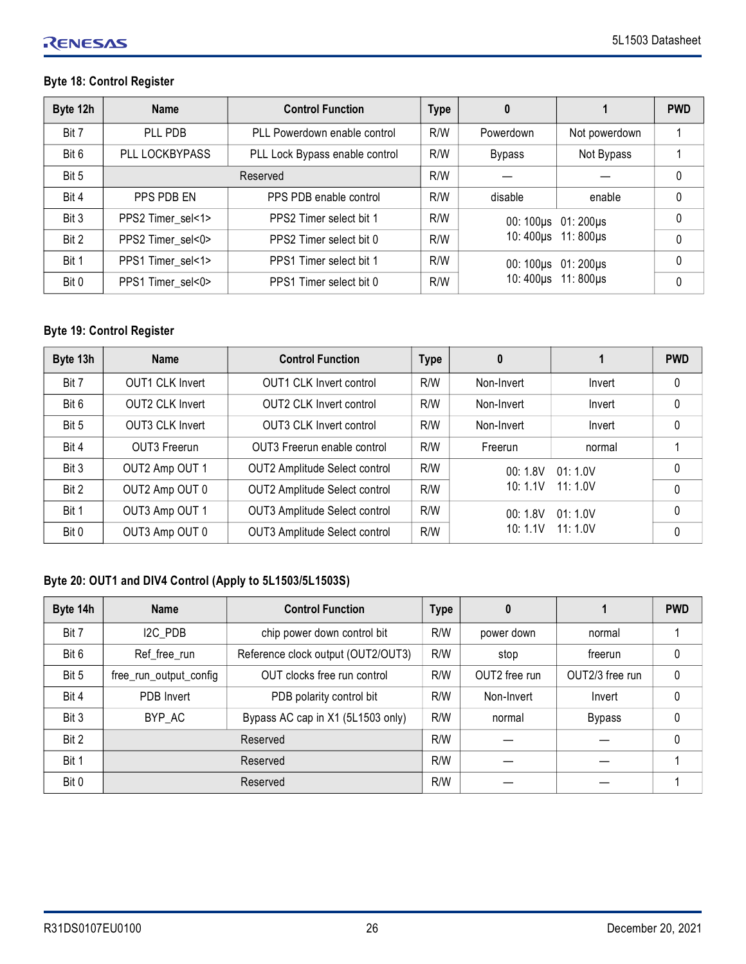## **Byte 18: Control Register**

| Byte 12h | <b>Name</b>       | <b>Control Function</b>        | <b>Type</b> | 0             |                     | <b>PWD</b> |
|----------|-------------------|--------------------------------|-------------|---------------|---------------------|------------|
| Bit 7    | PLL PDB           | PLL Powerdown enable control   | R/W         | Powerdown     | Not powerdown       |            |
| Bit 6    | PLL LOCKBYPASS    | PLL Lock Bypass enable control | R/W         | <b>Bypass</b> | Not Bypass          |            |
| Bit 5    |                   | Reserved                       | R/W         |               |                     | $\Omega$   |
| Bit 4    | PPS PDB EN        | PPS PDB enable control         | R/W         | disable       | enable              | $\Omega$   |
| Bit 3    | PPS2 Timer_sel<1> | PPS2 Timer select bit 1        | R/W         |               | 00: 100µs 01: 200µs | $\Omega$   |
| Bit 2    | PPS2 Timer_sel<0> | PPS2 Timer select bit 0        | R/W         |               | 10:400µs 11:800µs   |            |
| Bit 1    | PPS1 Timer_sel<1> | PPS1 Timer select bit 1        | R/W         |               | 00: 100µs 01: 200µs |            |
| Bit 0    | PPS1 Timer_sel<0> | PPS1 Timer select bit 0        | R/W         |               | 10:400us 11:800us   |            |

## **Byte 19: Control Register**

| Byte 13h | <b>Name</b>            | <b>Control Function</b>              | <b>Type</b> | $\bf{0}$   |          | <b>PWD</b>   |
|----------|------------------------|--------------------------------------|-------------|------------|----------|--------------|
| Bit 7    | <b>OUT1 CLK Invert</b> | OUT1 CLK Invert control              | R/W         | Non-Invert | Invert   | 0            |
| Bit 6    | <b>OUT2 CLK Invert</b> | <b>OUT2 CLK Invert control</b>       | R/W         | Non-Invert | Invert   | $\mathbf{0}$ |
| Bit 5    | <b>OUT3 CLK Invert</b> | <b>OUT3 CLK Invert control</b>       | R/W         | Non-Invert | Invert   | $\mathbf{0}$ |
| Bit 4    | OUT3 Freerun           | OUT3 Freerun enable control          | R/W         | Freerun    | normal   |              |
| Bit 3    | OUT2 Amp OUT 1         | OUT2 Amplitude Select control        | R/W         | 00:1.8V    | 01:1.0V  | $\mathbf{0}$ |
| Bit 2    | OUT2 Amp OUT 0         | OUT2 Amplitude Select control        | R/W         | 10:1.1V    | 11: 1.0V | $\mathbf{0}$ |
| Bit 1    | OUT3 Amp OUT 1         | OUT3 Amplitude Select control        | R/W         | 00:1.8V    | 01:1.0V  | $\Omega$     |
| Bit 0    | OUT3 Amp OUT 0         | <b>OUT3 Amplitude Select control</b> | R/W         | 10:1.1V    | 11: 1.0V | $\mathbf{0}$ |

## **Byte 20: OUT1 and DIV4 Control (Apply to 5L1503/5L1503S)**

| Byte 14h | <b>Name</b>            | <b>Control Function</b>            | <b>Type</b> | 0             |                 | <b>PWD</b> |
|----------|------------------------|------------------------------------|-------------|---------------|-----------------|------------|
| Bit 7    | I <sub>2</sub> C PDB   | chip power down control bit        | R/W         | power down    | normal          |            |
| Bit 6    | Ref_free_run           | Reference clock output (OUT2/OUT3) | R/W         | stop          | freerun         | $\theta$   |
| Bit 5    | free_run_output_config | OUT clocks free run control        | R/W         | OUT2 free run | OUT2/3 free run | $\Omega$   |
| Bit 4    | PDB Invert             | PDB polarity control bit           | R/W         | Non-Invert    | Invert          | $\Omega$   |
| Bit 3    | BYP AC                 | Bypass AC cap in X1 (5L1503 only)  | R/W         | normal        | <b>Bypass</b>   | $\Omega$   |
| Bit 2    | Reserved               |                                    | R/W         |               |                 | $\theta$   |
| Bit 1    | Reserved               |                                    | R/W         |               |                 |            |
| Bit 0    | Reserved               |                                    | R/W         |               |                 |            |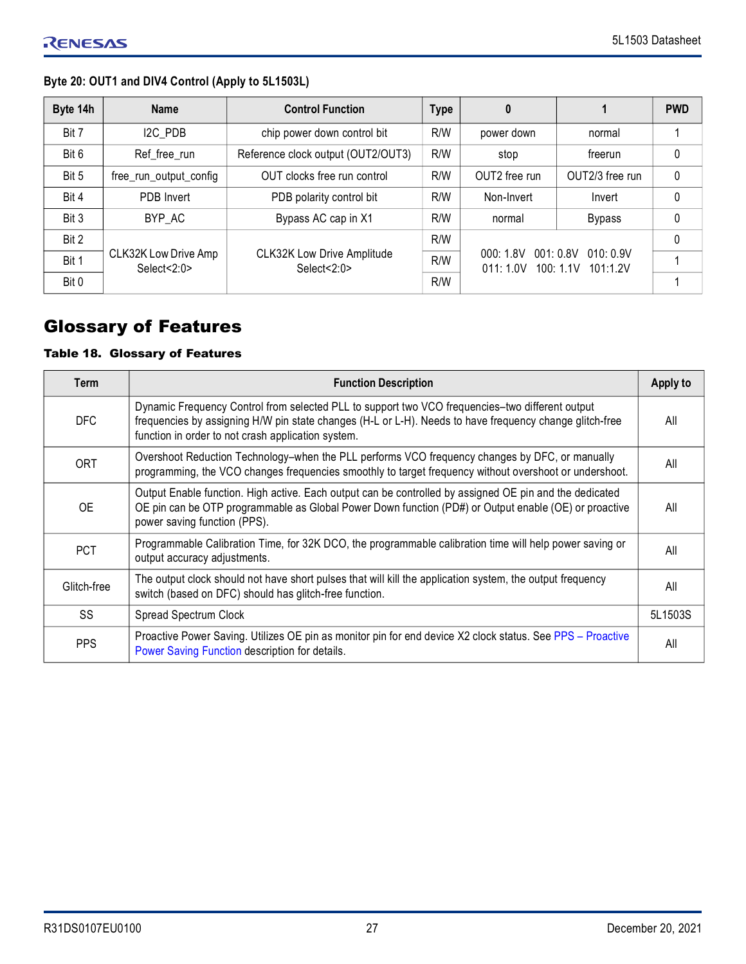## **Byte 20: OUT1 and DIV4 Control (Apply to 5L1503L)**

| Byte 14h | <b>Name</b>                         | <b>Control Function</b>                          | <b>Type</b> | $\boldsymbol{0}$     |                                              | <b>PWD</b>   |
|----------|-------------------------------------|--------------------------------------------------|-------------|----------------------|----------------------------------------------|--------------|
| Bit 7    | I2C PDB                             | chip power down control bit                      | R/W         | power down           | normal                                       |              |
| Bit 6    | Ref_free_run                        | Reference clock output (OUT2/OUT3)               | R/W         | stop                 | freerun                                      | $\mathbf{0}$ |
| Bit 5    | free_run_output_config              | OUT clocks free run control                      | R/W         | OUT2 free run        | OUT2/3 free run                              | $\mathbf{0}$ |
| Bit 4    | PDB Invert                          | PDB polarity control bit                         | R/W         | Non-Invert           | Invert                                       | $\mathbf{0}$ |
| Bit 3    | BYP AC                              | Bypass AC cap in X1                              | R/W         | normal               | Bypass                                       | 0            |
| Bit 2    |                                     |                                                  | R/W         |                      |                                              | $\Omega$     |
| Bit 1    | CLK32K Low Drive Amp<br>Select<2:0> | <b>CLK32K Low Drive Amplitude</b><br>Select<2:0> | R/W         | 000:1.8V<br>011:1.0V | 001:0.8V<br>010:0.9V<br>100:1.1V<br>101:1.2V |              |
| Bit 0    |                                     |                                                  | R/W         |                      |                                              |              |

# <span id="page-26-0"></span>Glossary of Features

## Table 18. Glossary of Features

| Term        | <b>Function Description</b>                                                                                                                                                                                                                                      | Apply to |
|-------------|------------------------------------------------------------------------------------------------------------------------------------------------------------------------------------------------------------------------------------------------------------------|----------|
| <b>DFC</b>  | Dynamic Frequency Control from selected PLL to support two VCO frequencies-two different output<br>frequencies by assigning H/W pin state changes (H-L or L-H). Needs to have frequency change glitch-free<br>function in order to not crash application system. | All      |
| <b>ORT</b>  | Overshoot Reduction Technology-when the PLL performs VCO frequency changes by DFC, or manually<br>programming, the VCO changes frequencies smoothly to target frequency without overshoot or undershoot.                                                         | All      |
| 0E          | Output Enable function. High active. Each output can be controlled by assigned OE pin and the dedicated<br>OE pin can be OTP programmable as Global Power Down function (PD#) or Output enable (OE) or proactive<br>power saving function (PPS).                 | All      |
| <b>PCT</b>  | Programmable Calibration Time, for 32K DCO, the programmable calibration time will help power saving or<br>output accuracy adjustments.                                                                                                                          | All      |
| Glitch-free | The output clock should not have short pulses that will kill the application system, the output frequency<br>switch (based on DFC) should has glitch-free function.                                                                                              | All      |
| SS          | Spread Spectrum Clock                                                                                                                                                                                                                                            | 5L1503S  |
| <b>PPS</b>  | Proactive Power Saving. Utilizes OE pin as monitor pin for end device X2 clock status. See PPS - Proactive<br>Power Saving Function description for details.                                                                                                     | All      |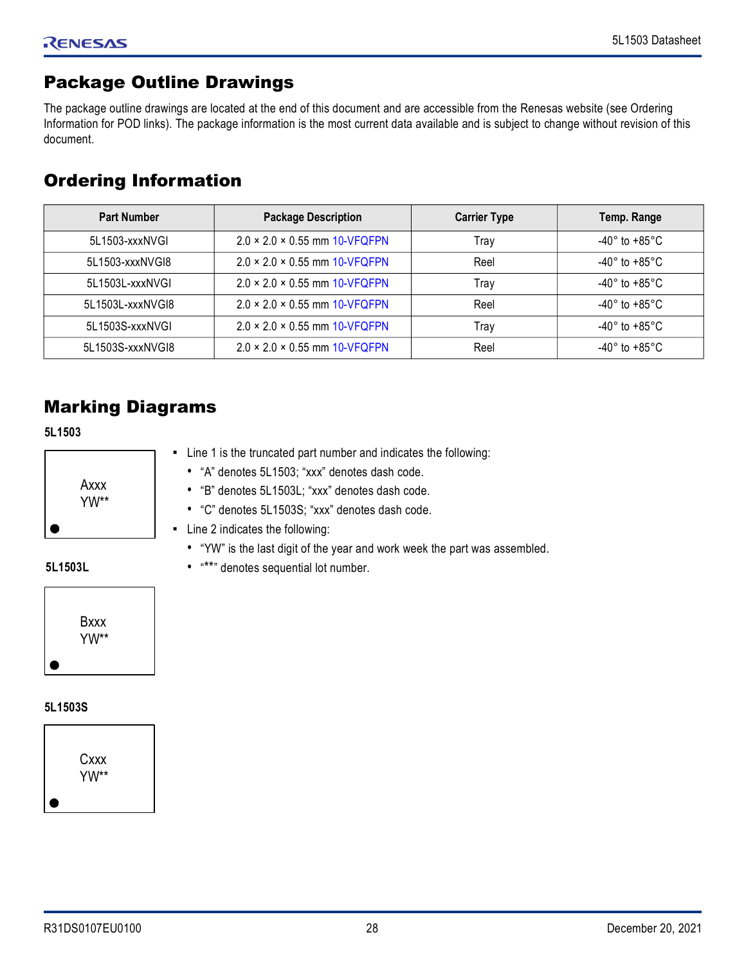# <span id="page-27-0"></span>Package Outline Drawings

The package outline drawings are located at the end of this document and are accessible from the Renesas website (see Ordering Information for POD links). The package information is the most current data available and is subject to change without revision of this document.

# <span id="page-27-1"></span>Ordering Information

| <b>Part Number</b> | <b>Package Description</b>                | <b>Carrier Type</b> | Temp. Range                        |
|--------------------|-------------------------------------------|---------------------|------------------------------------|
| 5L1503-xxxNVGI     | $2.0 \times 2.0 \times 0.55$ mm 10-VFQFPN | Trav                | -40 $^{\circ}$ to +85 $^{\circ}$ C |
| 5L1503-xxxNVGI8    | $2.0 \times 2.0 \times 0.55$ mm 10-VFQFPN | Reel                | -40 $^{\circ}$ to +85 $^{\circ}$ C |
| 5L1503L-xxxNVGI    | $2.0 \times 2.0 \times 0.55$ mm 10-VFQFPN | Trav                | -40 $^{\circ}$ to +85 $^{\circ}$ C |
| 5L1503L-xxxNVGI8   | $2.0 \times 2.0 \times 0.55$ mm 10-VFQFPN | Reel                | -40 $^{\circ}$ to +85 $^{\circ}$ C |
| 5L1503S-xxxNVGI    | $2.0 \times 2.0 \times 0.55$ mm 10-VFQFPN | Trav                | -40 $^{\circ}$ to +85 $^{\circ}$ C |
| 5L1503S-xxxNVGI8   | $2.0 \times 2.0 \times 0.55$ mm 10-VFQFPN | Reel                | -40 $^{\circ}$ to +85 $^{\circ}$ C |

# <span id="page-27-2"></span>Marking Diagrams

**5L1503**

| Axxx<br>YW** |
|--------------|
|              |

- Line 1 is the truncated part number and indicates the following:
	- "A" denotes 5L1503; "xxx" denotes dash code.
	- "B" denotes 5L1503L; "xxx" denotes dash code.
	- "C" denotes 5L1503S; "xxx" denotes dash code.
- Line 2 indicates the following:

• "\*\*" denotes sequential lot number.

• "YW" is the last digit of the year and work week the part was assembled.

### **5L1503L**



## **5L1503S**

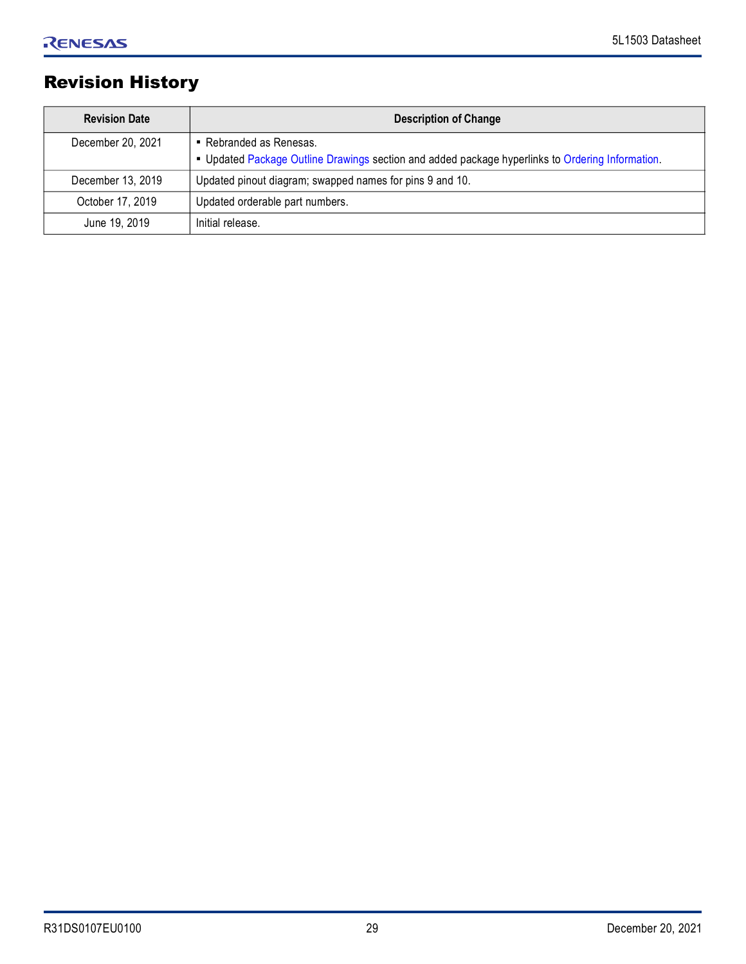# <span id="page-28-0"></span>Revision History

| <b>Revision Date</b> | <b>Description of Change</b>                                                                                                |
|----------------------|-----------------------------------------------------------------------------------------------------------------------------|
| December 20, 2021    | • Rebranded as Renesas.<br>- Updated Package Outline Drawings section and added package hyperlinks to Ordering Information. |
| December 13, 2019    | Updated pinout diagram; swapped names for pins 9 and 10.                                                                    |
| October 17, 2019     | Updated orderable part numbers.                                                                                             |
| June 19, 2019        | Initial release.                                                                                                            |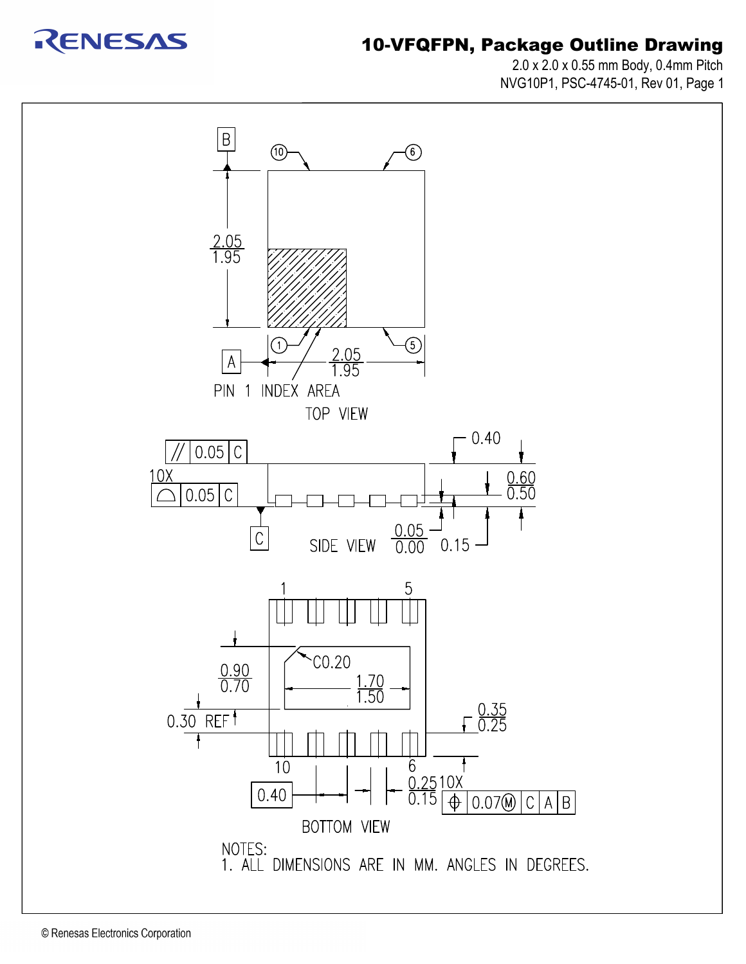